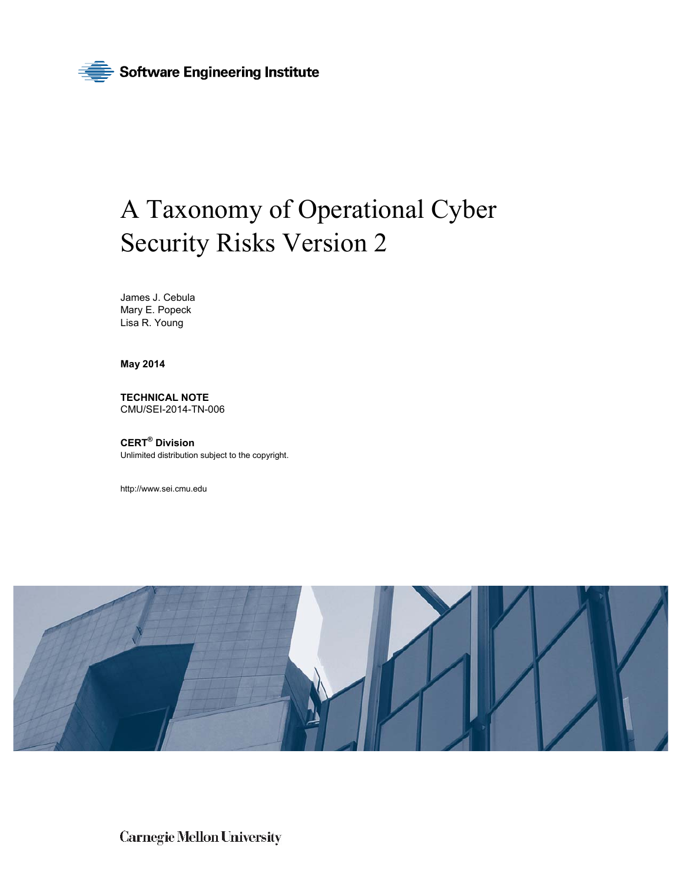

# A Taxonomy of Operational Cyber Security Risks Version 2

James J. Cebula Mary E. Popeck Lisa R. Young

**May 2014** 

**TECHNICAL NOTE**  CMU/SEI-2014-TN-006

**CERT® Division**  Unlimited distribution subject to the copyright.

http://www.sei.cmu.edu



Carnegie Mellon University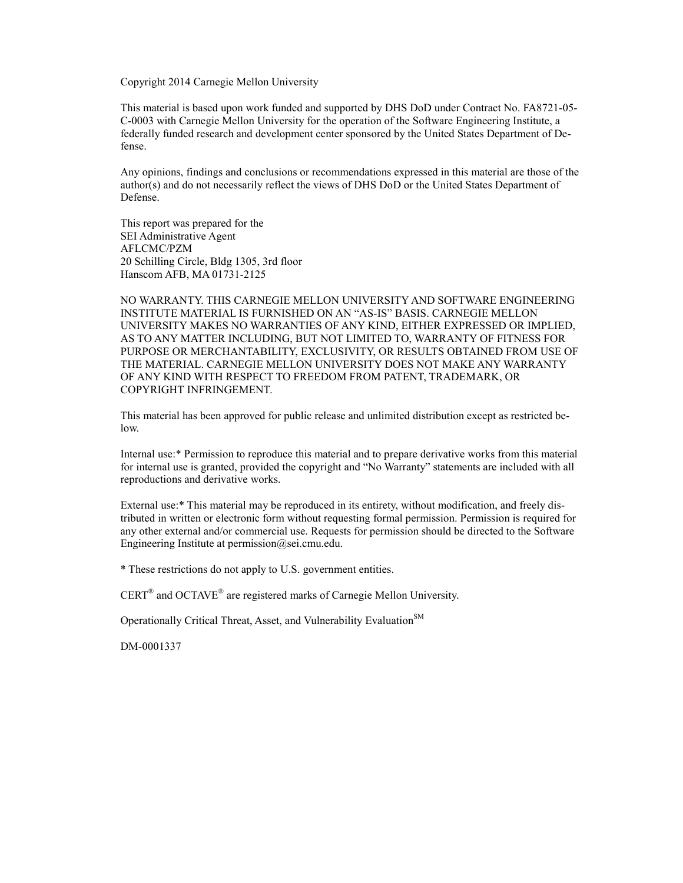Copyright 2014 Carnegie Mellon University

This material is based upon work funded and supported by DHS DoD under Contract No. FA8721-05- C-0003 with Carnegie Mellon University for the operation of the Software Engineering Institute, a federally funded research and development center sponsored by the United States Department of Defense.

Any opinions, findings and conclusions or recommendations expressed in this material are those of the author(s) and do not necessarily reflect the views of DHS DoD or the United States Department of Defense.

This report was prepared for the SEI Administrative Agent AFLCMC/PZM 20 Schilling Circle, Bldg 1305, 3rd floor Hanscom AFB, MA 01731-2125

NO WARRANTY. THIS CARNEGIE MELLON UNIVERSITY AND SOFTWARE ENGINEERING INSTITUTE MATERIAL IS FURNISHED ON AN "AS-IS" BASIS. CARNEGIE MELLON UNIVERSITY MAKES NO WARRANTIES OF ANY KIND, EITHER EXPRESSED OR IMPLIED, AS TO ANY MATTER INCLUDING, BUT NOT LIMITED TO, WARRANTY OF FITNESS FOR PURPOSE OR MERCHANTABILITY, EXCLUSIVITY, OR RESULTS OBTAINED FROM USE OF THE MATERIAL. CARNEGIE MELLON UNIVERSITY DOES NOT MAKE ANY WARRANTY OF ANY KIND WITH RESPECT TO FREEDOM FROM PATENT, TRADEMARK, OR COPYRIGHT INFRINGEMENT.

This material has been approved for public release and unlimited distribution except as restricted below.

Internal use:\* Permission to reproduce this material and to prepare derivative works from this material for internal use is granted, provided the copyright and "No Warranty" statements are included with all reproductions and derivative works.

External use:\* This material may be reproduced in its entirety, without modification, and freely distributed in written or electronic form without requesting formal permission. Permission is required for any other external and/or commercial use. Requests for permission should be directed to the Software Engineering Institute at permission@sei.cmu.edu.

\* These restrictions do not apply to U.S. government entities.

CERT® and OCTAVE® are registered marks of Carnegie Mellon University.

Operationally Critical Threat, Asset, and Vulnerability Evaluation<sup>SM</sup>

DM-0001337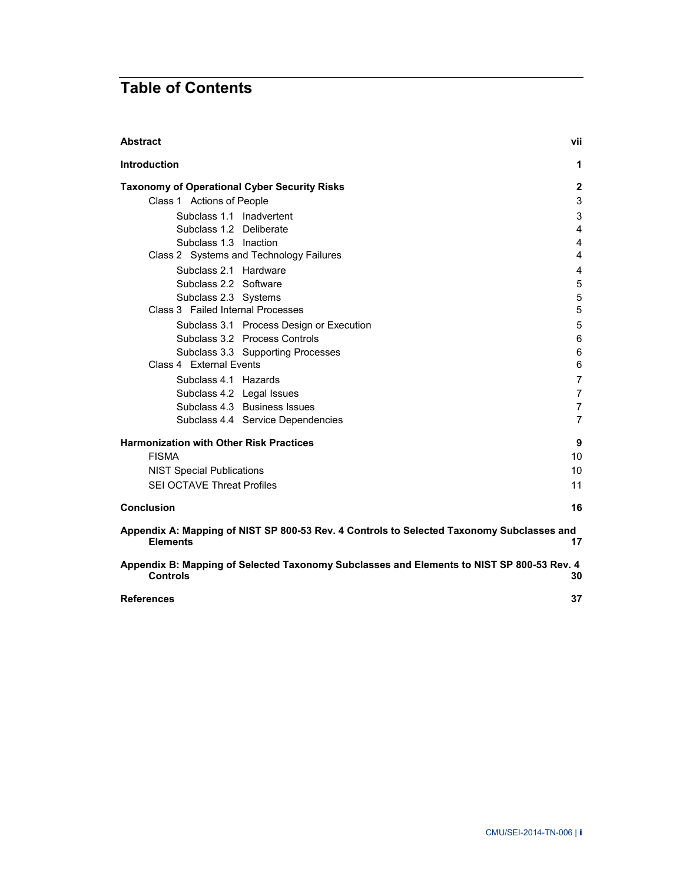# **Table of Contents**

| <b>Abstract</b>                                                                                              | vii                     |
|--------------------------------------------------------------------------------------------------------------|-------------------------|
| <b>Introduction</b>                                                                                          | 1                       |
| <b>Taxonomy of Operational Cyber Security Risks</b>                                                          | $\mathbf{2}$            |
| Class 1 Actions of People                                                                                    | 3                       |
| Subclass 1.1 Inadvertent                                                                                     | 3                       |
| Subclass 1.2 Deliberate                                                                                      | 4                       |
| Subclass 1.3 Inaction                                                                                        | $\overline{4}$          |
| Class 2 Systems and Technology Failures                                                                      | $\overline{\mathbf{4}}$ |
| Subclass 2.1 Hardware                                                                                        | $\overline{4}$          |
| Subclass 2.2 Software                                                                                        | 5                       |
| Subclass 2.3 Systems                                                                                         | $\overline{5}$          |
| Class 3 Failed Internal Processes                                                                            | 5                       |
| Subclass 3.1 Process Design or Execution                                                                     | 5                       |
| Subclass 3.2 Process Controls                                                                                | 6                       |
| Subclass 3.3 Supporting Processes                                                                            | 6                       |
| Class 4 External Events                                                                                      | 6                       |
| Subclass 4.1 Hazards                                                                                         | $\overline{7}$          |
| Subclass 4.2 Legal Issues                                                                                    | $\overline{7}$          |
| Subclass 4.3 Business Issues                                                                                 | $\overline{7}$          |
| Subclass 4.4 Service Dependencies                                                                            | $\overline{7}$          |
| <b>Harmonization with Other Risk Practices</b>                                                               | 9                       |
| <b>FISMA</b>                                                                                                 | 10                      |
| <b>NIST Special Publications</b>                                                                             | 10                      |
| <b>SEI OCTAVE Threat Profiles</b>                                                                            | 11                      |
| <b>Conclusion</b>                                                                                            | 16                      |
| Appendix A: Mapping of NIST SP 800-53 Rev. 4 Controls to Selected Taxonomy Subclasses and<br><b>Elements</b> | 17                      |
| Appendix B: Mapping of Selected Taxonomy Subclasses and Elements to NIST SP 800-53 Rev. 4<br><b>Controls</b> | 30                      |
| <b>References</b>                                                                                            | 37                      |
|                                                                                                              |                         |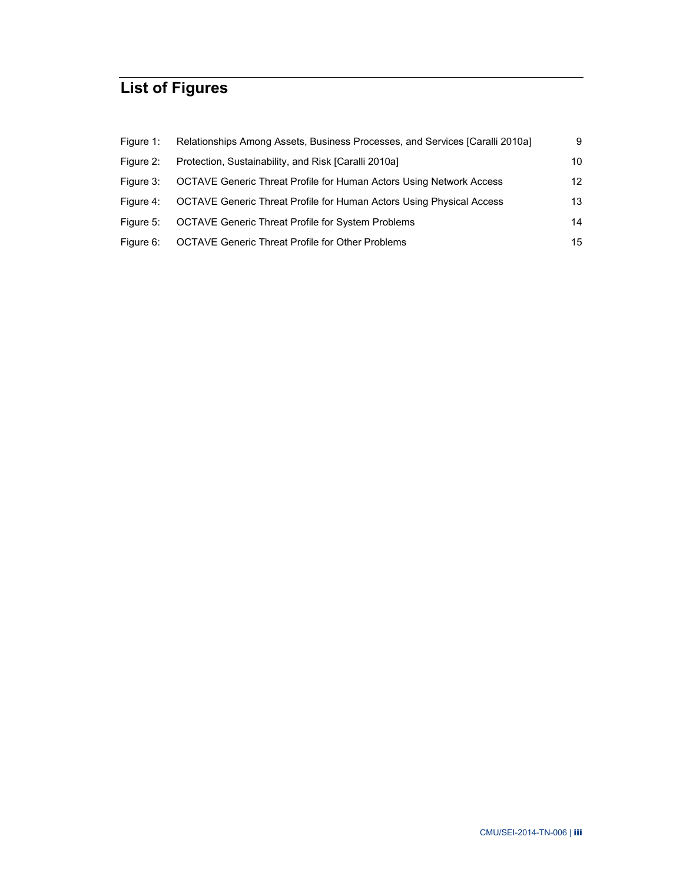# **List of Figures**

| Figure 1: | Relationships Among Assets, Business Processes, and Services [Caralli 2010a] | 9                |
|-----------|------------------------------------------------------------------------------|------------------|
| Figure 2: | Protection, Sustainability, and Risk [Caralli 2010a]                         | 10               |
| Figure 3: | OCTAVE Generic Threat Profile for Human Actors Using Network Access          | 12 <sup>12</sup> |
| Figure 4: | OCTAVE Generic Threat Profile for Human Actors Using Physical Access         | 13               |
| Figure 5: | <b>OCTAVE Generic Threat Profile for System Problems</b>                     | 14               |
| Figure 6: | <b>OCTAVE Generic Threat Profile for Other Problems</b>                      | 15               |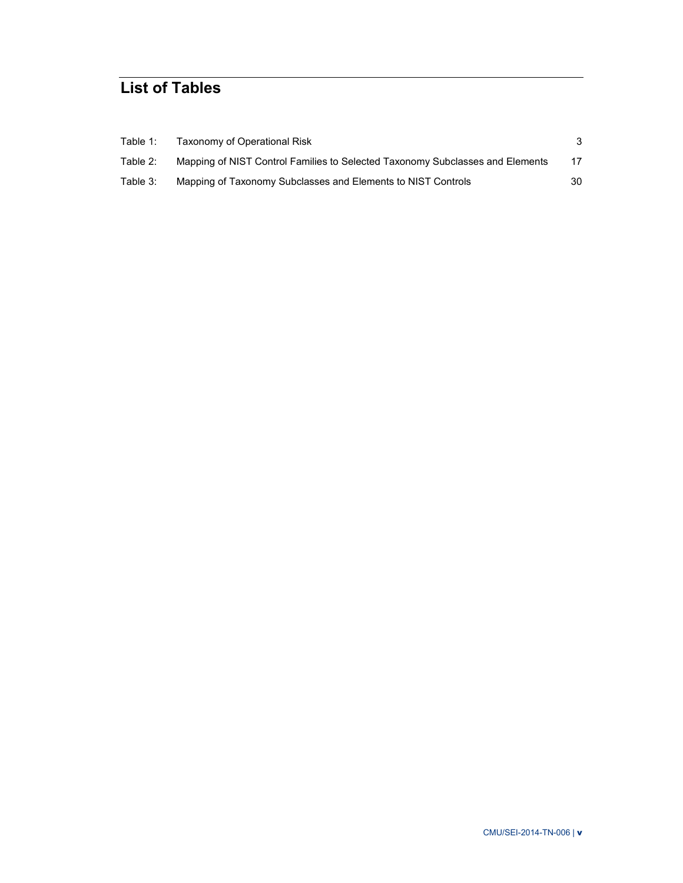# **List of Tables**

| Table 1: | Taxonomy of Operational Risk                                                  |    |
|----------|-------------------------------------------------------------------------------|----|
| Table 2: | Mapping of NIST Control Families to Selected Taxonomy Subclasses and Elements | 17 |
| Table 3: | Mapping of Taxonomy Subclasses and Elements to NIST Controls                  | 30 |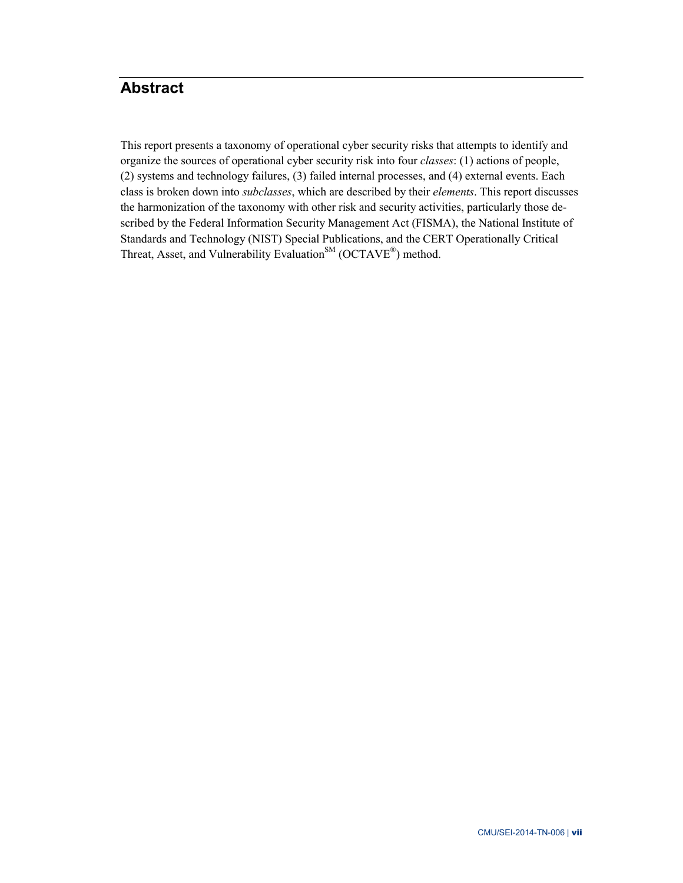# **Abstract**

This report presents a taxonomy of operational cyber security risks that attempts to identify and organize the sources of operational cyber security risk into four *classes*: (1) actions of people, (2) systems and technology failures, (3) failed internal processes, and (4) external events. Each class is broken down into *subclasses*, which are described by their *elements*. This report discusses the harmonization of the taxonomy with other risk and security activities, particularly those described by the Federal Information Security Management Act (FISMA), the National Institute of Standards and Technology (NIST) Special Publications, and the CERT Operationally Critical Threat, Asset, and Vulnerability Evaluation<sup>SM</sup> (OCTAVE®) method.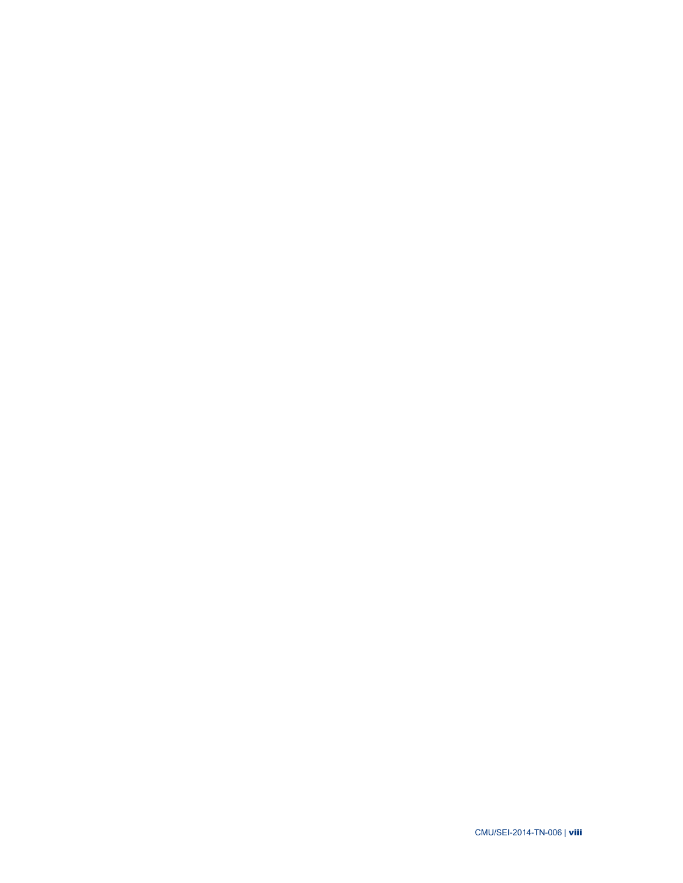CMU/SEI-2014-TN-006 | viii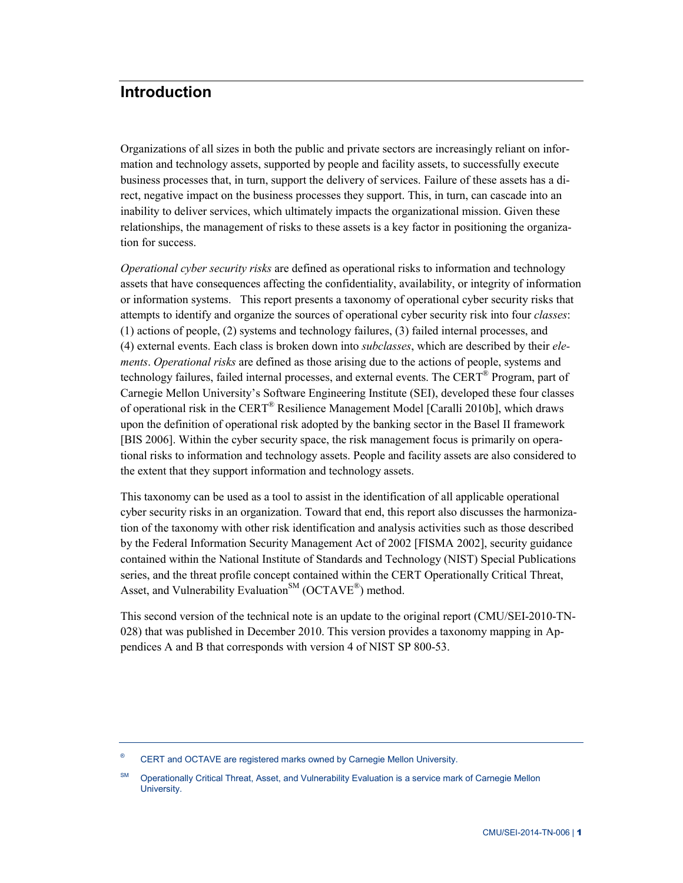### **Introduction**

Organizations of all sizes in both the public and private sectors are increasingly reliant on information and technology assets, supported by people and facility assets, to successfully execute business processes that, in turn, support the delivery of services. Failure of these assets has a direct, negative impact on the business processes they support. This, in turn, can cascade into an inability to deliver services, which ultimately impacts the organizational mission. Given these relationships, the management of risks to these assets is a key factor in positioning the organization for success.

*Operational cyber security risks* are defined as operational risks to information and technology assets that have consequences affecting the confidentiality, availability, or integrity of information or information systems. This report presents a taxonomy of operational cyber security risks that attempts to identify and organize the sources of operational cyber security risk into four *classes*: (1) actions of people, (2) systems and technology failures, (3) failed internal processes, and (4) external events. Each class is broken down into *subclasses*, which are described by their *elements*. *Operational risks* are defined as those arising due to the actions of people, systems and technology failures, failed internal processes, and external events. The CERT® Program, part of Carnegie Mellon University's Software Engineering Institute (SEI), developed these four classes of operational risk in the CERT<sup>®</sup> Resilience Management Model [Caralli 2010b], which draws upon the definition of operational risk adopted by the banking sector in the Basel II framework [BIS 2006]. Within the cyber security space, the risk management focus is primarily on operational risks to information and technology assets. People and facility assets are also considered to the extent that they support information and technology assets.

This taxonomy can be used as a tool to assist in the identification of all applicable operational cyber security risks in an organization. Toward that end, this report also discusses the harmonization of the taxonomy with other risk identification and analysis activities such as those described by the Federal Information Security Management Act of 2002 [FISMA 2002], security guidance contained within the National Institute of Standards and Technology (NIST) Special Publications series, and the threat profile concept contained within the CERT Operationally Critical Threat, Asset, and Vulnerability Evaluation<sup>SM</sup> (OCTAVE<sup>®</sup>) method.

This second version of the technical note is an update to the original report (CMU/SEI-2010-TN-028) that was published in December 2010. This version provides a taxonomy mapping in Appendices A and B that corresponds with version 4 of NIST SP 800-53.

<sup>®</sup> CERT and OCTAVE are registered marks owned by Carnegie Mellon University.

SM Operationally Critical Threat, Asset, and Vulnerability Evaluation is a service mark of Carnegie Mellon University.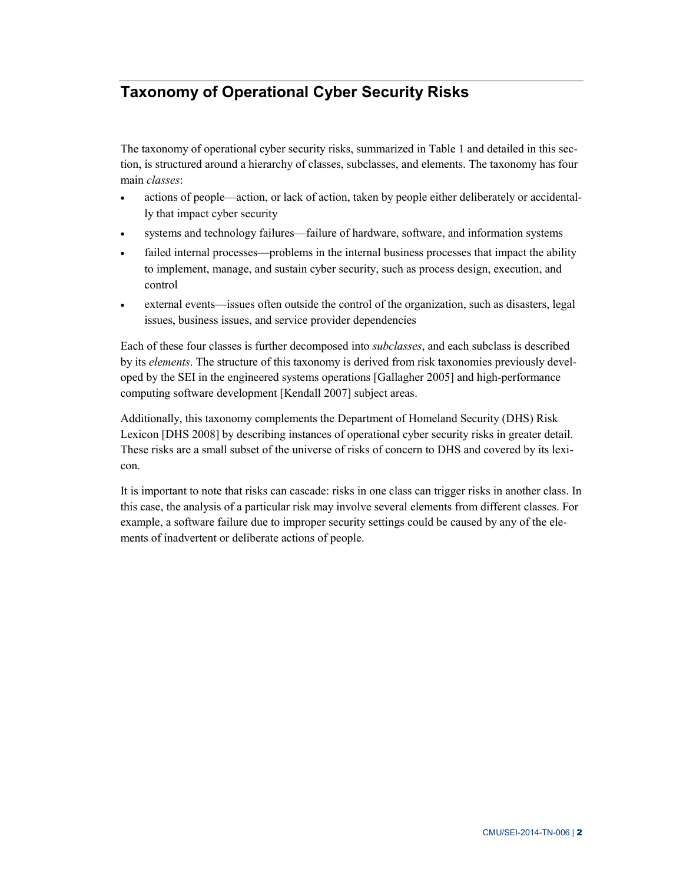# **Taxonomy of Operational Cyber Security Risks**

The taxonomy of operational cyber security risks, summarized in Table 1 and detailed in this section, is structured around a hierarchy of classes, subclasses, and elements. The taxonomy has four main *classes*:

- actions of people—action, or lack of action, taken by people either deliberately or accidentally that impact cyber security
- systems and technology failures—failure of hardware, software, and information systems
- failed internal processes—problems in the internal business processes that impact the ability to implement, manage, and sustain cyber security, such as process design, execution, and control
- external events—issues often outside the control of the organization, such as disasters, legal issues, business issues, and service provider dependencies

Each of these four classes is further decomposed into *subclasses*, and each subclass is described by its *elements*. The structure of this taxonomy is derived from risk taxonomies previously developed by the SEI in the engineered systems operations [Gallagher 2005] and high-performance computing software development [Kendall 2007] subject areas.

Additionally, this taxonomy complements the Department of Homeland Security (DHS) Risk Lexicon [DHS 2008] by describing instances of operational cyber security risks in greater detail. These risks are a small subset of the universe of risks of concern to DHS and covered by its lexicon.

It is important to note that risks can cascade: risks in one class can trigger risks in another class. In this case, the analysis of a particular risk may involve several elements from different classes. For example, a software failure due to improper security settings could be caused by any of the elements of inadvertent or deliberate actions of people.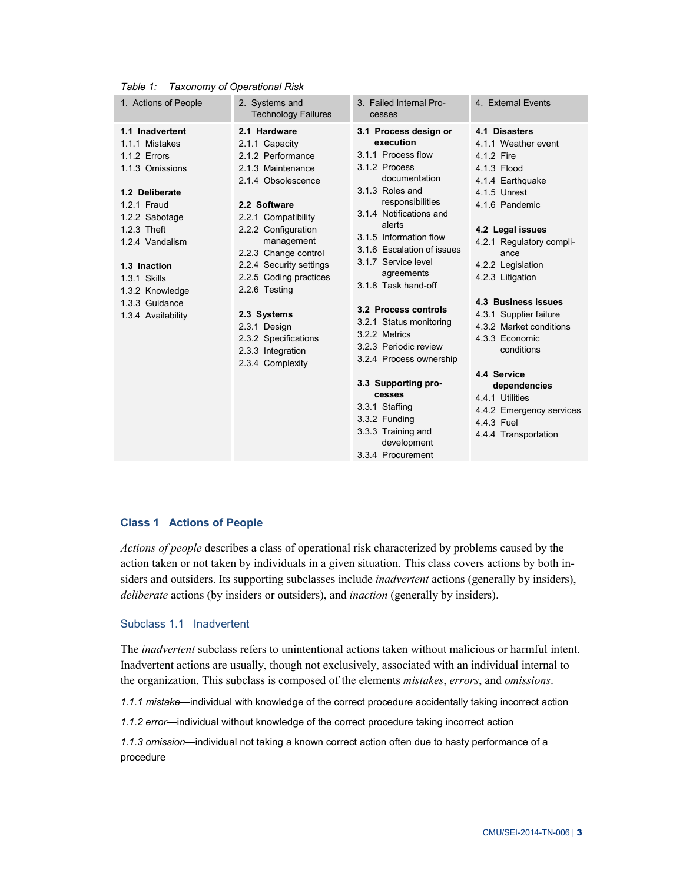| 1. Actions of People                                                                                                                                                                                                                                 | 2. Systems and<br><b>Technology Failures</b>                                                                                                                                                                                                                                                                                                                             | 3. Failed Internal Pro-<br>cesses                                                                                                                                                                                                                                                                                                                                                                                                                                                                                                                       | 4. External Events                                                                                                                                                                                                                                                                                                                                                                                                                                              |
|------------------------------------------------------------------------------------------------------------------------------------------------------------------------------------------------------------------------------------------------------|--------------------------------------------------------------------------------------------------------------------------------------------------------------------------------------------------------------------------------------------------------------------------------------------------------------------------------------------------------------------------|---------------------------------------------------------------------------------------------------------------------------------------------------------------------------------------------------------------------------------------------------------------------------------------------------------------------------------------------------------------------------------------------------------------------------------------------------------------------------------------------------------------------------------------------------------|-----------------------------------------------------------------------------------------------------------------------------------------------------------------------------------------------------------------------------------------------------------------------------------------------------------------------------------------------------------------------------------------------------------------------------------------------------------------|
| 1.1 Inadvertent<br>1.1.1 Mistakes<br>1.1.2 Errors<br>1.1.3 Omissions<br>1.2 Deliberate<br>1.2.1 Fraud<br>1.2.2 Sabotage<br>1.2.3 Theft<br>1.2.4 Vandalism<br>1.3 Inaction<br>1.3.1 Skills<br>1.3.2 Knowledge<br>1.3.3 Guidance<br>1.3.4 Availability | 2.1 Hardware<br>2.1.1 Capacity<br>2.1.2 Performance<br>2.1.3 Maintenance<br>2.1.4 Obsolescence<br>2.2 Software<br>2.2.1 Compatibility<br>2.2.2 Configuration<br>management<br>2.2.3 Change control<br>2.2.4 Security settings<br>2.2.5 Coding practices<br>2.2.6 Testing<br>2.3 Systems<br>2.3.1 Design<br>2.3.2 Specifications<br>2.3.3 Integration<br>2.3.4 Complexity | 3.1 Process design or<br>execution<br>3.1.1 Process flow<br>3.1.2 Process<br>documentation<br>3.1.3 Roles and<br>responsibilities<br>3.1.4 Notifications and<br>alerts<br>3.1.5 Information flow<br>3.1.6 Escalation of issues<br>3.1.7 Service level<br>agreements<br>3.1.8 Task hand-off<br>3.2 Process controls<br>3.2.1 Status monitoring<br>3.2.2 Metrics<br>3.2.3 Periodic review<br>3.2.4 Process ownership<br>3.3 Supporting pro-<br><b>Cesses</b><br>3.3.1 Staffing<br>3.3.2 Funding<br>3.3.3 Training and<br>development<br>3.3.4 Procurement | 4.1 Disasters<br>4.1.1 Weather event<br>4.1.2 Fire<br>4.1.3 Flood<br>4.1.4 Earthquake<br>4.1.5 Unrest<br>4.1.6 Pandemic<br>4.2 Legal issues<br>4.2.1 Regulatory compli-<br>ance<br>4.2.2 Legislation<br>4.2.3 Litigation<br><b>4.3 Business issues</b><br>4.3.1 Supplier failure<br>4.3.2 Market conditions<br>4.3.3 Economic<br>conditions<br>4.4 Service<br>dependencies<br>4.4.1 Utilities<br>4.4.2 Emergency services<br>4.4.3 Fuel<br>4.4.4 Transportation |

#### *Table 1: Taxonomy of Operational Risk*

#### **Class 1 Actions of People**

*Actions of people* describes a class of operational risk characterized by problems caused by the action taken or not taken by individuals in a given situation. This class covers actions by both insiders and outsiders. Its supporting subclasses include *inadvertent* actions (generally by insiders), *deliberate* actions (by insiders or outsiders), and *inaction* (generally by insiders).

#### Subclass 1.1 Inadvertent

The *inadvertent* subclass refers to unintentional actions taken without malicious or harmful intent. Inadvertent actions are usually, though not exclusively, associated with an individual internal to the organization. This subclass is composed of the elements *mistakes*, *errors*, and *omissions*.

*1.1.1 mistake*—individual with knowledge of the correct procedure accidentally taking incorrect action

*1.1.2 error*—individual without knowledge of the correct procedure taking incorrect action

*1.1.3 omission*—individual not taking a known correct action often due to hasty performance of a procedure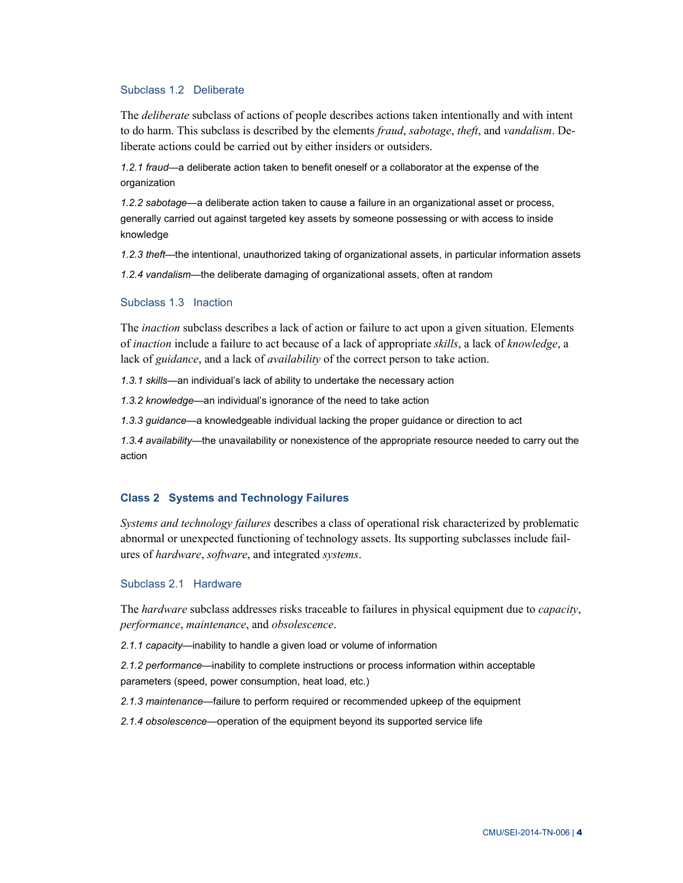#### Subclass 1.2 Deliberate

The *deliberate* subclass of actions of people describes actions taken intentionally and with intent to do harm. This subclass is described by the elements *fraud*, *sabotage*, *theft*, and *vandalism*. Deliberate actions could be carried out by either insiders or outsiders.

*1.2.1 fraud*—a deliberate action taken to benefit oneself or a collaborator at the expense of the organization

*1.2.2 sabotage*—a deliberate action taken to cause a failure in an organizational asset or process, generally carried out against targeted key assets by someone possessing or with access to inside knowledge

*1.2.3 theft*—the intentional, unauthorized taking of organizational assets, in particular information assets

*1.2.4 vandalism*—the deliberate damaging of organizational assets, often at random

#### Subclass 1.3 Inaction

The *inaction* subclass describes a lack of action or failure to act upon a given situation. Elements of *inaction* include a failure to act because of a lack of appropriate *skills*, a lack of *knowledge*, a lack of *guidance*, and a lack of *availability* of the correct person to take action.

*1.3.1 skills*—an individual's lack of ability to undertake the necessary action

*1.3.2 knowledge*—an individual's ignorance of the need to take action

*1.3.3 guidance*—a knowledgeable individual lacking the proper guidance or direction to act

*1.3.4 availability*—the unavailability or nonexistence of the appropriate resource needed to carry out the action

#### **Class 2 Systems and Technology Failures**

*Systems and technology failures* describes a class of operational risk characterized by problematic abnormal or unexpected functioning of technology assets. Its supporting subclasses include failures of *hardware*, *software*, and integrated *systems*.

#### Subclass 2.1 Hardware

The *hardware* subclass addresses risks traceable to failures in physical equipment due to *capacity*, *performance*, *maintenance*, and *obsolescence*.

*2.1.1 capacity*—inability to handle a given load or volume of information

*2.1.2 performance*—inability to complete instructions or process information within acceptable parameters (speed, power consumption, heat load, etc.)

*2.1.3 maintenance*—failure to perform required or recommended upkeep of the equipment

*2.1.4 obsolescence*—operation of the equipment beyond its supported service life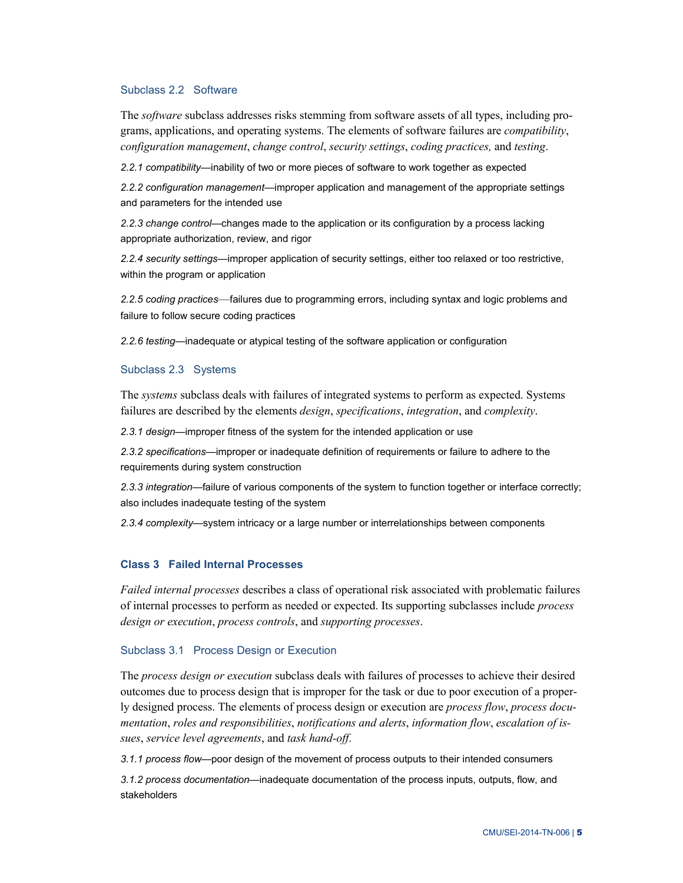#### Subclass 2.2 Software

The *software* subclass addresses risks stemming from software assets of all types, including programs, applications, and operating systems. The elements of software failures are *compatibility*, *configuration management*, *change control*, *security settings*, *coding practices,* and *testing*.

*2.2.1 compatibility*—inability of two or more pieces of software to work together as expected

*2.2.2 configuration management*—improper application and management of the appropriate settings and parameters for the intended use

*2.2.3 change control*—changes made to the application or its configuration by a process lacking appropriate authorization, review, and rigor

*2.2.4 security settings*—improper application of security settings, either too relaxed or too restrictive, within the program or application

*2.2.5 coding practices*—failures due to programming errors, including syntax and logic problems and failure to follow secure coding practices

*2.2.6 testing*—inadequate or atypical testing of the software application or configuration

#### Subclass 2.3 Systems

The *systems* subclass deals with failures of integrated systems to perform as expected. Systems failures are described by the elements *design*, *specifications*, *integration*, and *complexity*.

*2.3.1 design*—improper fitness of the system for the intended application or use

*2.3.2 specifications*—improper or inadequate definition of requirements or failure to adhere to the requirements during system construction

*2.3.3 integration*—failure of various components of the system to function together or interface correctly; also includes inadequate testing of the system

*2.3.4 complexity*—system intricacy or a large number or interrelationships between components

#### **Class 3 Failed Internal Processes**

*Failed internal processes* describes a class of operational risk associated with problematic failures of internal processes to perform as needed or expected. Its supporting subclasses include *process design or execution*, *process controls*, and *supporting processes*.

#### Subclass 3.1 Process Design or Execution

The *process design or execution* subclass deals with failures of processes to achieve their desired outcomes due to process design that is improper for the task or due to poor execution of a properly designed process. The elements of process design or execution are *process flow*, *process documentation*, *roles and responsibilities*, *notifications and alerts*, *information flow*, *escalation of issues*, *service level agreements*, and *task hand-off*.

*3.1.1 process flow*—poor design of the movement of process outputs to their intended consumers

*3.1.2 process documentation*—inadequate documentation of the process inputs, outputs, flow, and stakeholders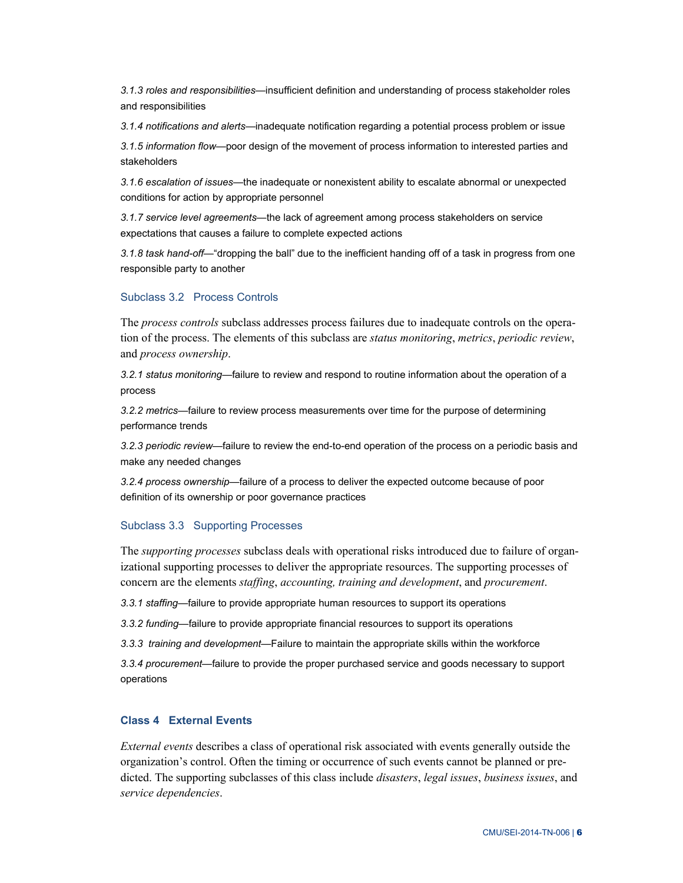*3.1.3 roles and responsibilities*—insufficient definition and understanding of process stakeholder roles and responsibilities

*3.1.4 notifications and alerts*—inadequate notification regarding a potential process problem or issue

*3.1.5 information flow*—poor design of the movement of process information to interested parties and stakeholders

*3.1.6 escalation of issues*—the inadequate or nonexistent ability to escalate abnormal or unexpected conditions for action by appropriate personnel

*3.1.7 service level agreements*—the lack of agreement among process stakeholders on service expectations that causes a failure to complete expected actions

*3.1.8 task hand-off*—"dropping the ball" due to the inefficient handing off of a task in progress from one responsible party to another

#### Subclass 3.2 Process Controls

The *process controls* subclass addresses process failures due to inadequate controls on the operation of the process. The elements of this subclass are *status monitoring*, *metrics*, *periodic review*, and *process ownership*.

*3.2.1 status monitoring*—failure to review and respond to routine information about the operation of a process

*3.2.2 metrics*—failure to review process measurements over time for the purpose of determining performance trends

*3.2.3 periodic review*—failure to review the end-to-end operation of the process on a periodic basis and make any needed changes

*3.2.4 process ownership*—failure of a process to deliver the expected outcome because of poor definition of its ownership or poor governance practices

#### Subclass 3.3 Supporting Processes

The *supporting processes* subclass deals with operational risks introduced due to failure of organizational supporting processes to deliver the appropriate resources. The supporting processes of concern are the elements *staffing*, *accounting, training and development*, and *procurement*.

*3.3.1 staffing*—failure to provide appropriate human resources to support its operations

*3.3.2 funding*—failure to provide appropriate financial resources to support its operations

*3.3.3 training and development*—Failure to maintain the appropriate skills within the workforce

*3.3.4 procurement*—failure to provide the proper purchased service and goods necessary to support operations

#### **Class 4 External Events**

*External events* describes a class of operational risk associated with events generally outside the organization's control. Often the timing or occurrence of such events cannot be planned or predicted. The supporting subclasses of this class include *disasters*, *legal issues*, *business issues*, and *service dependencies*.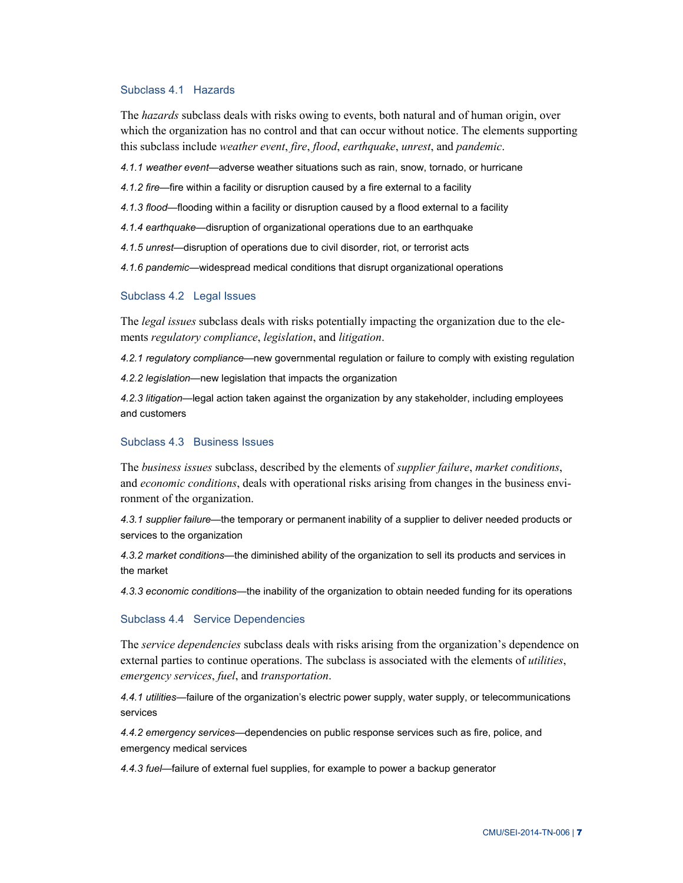#### Subclass 4.1 Hazards

The *hazards* subclass deals with risks owing to events, both natural and of human origin, over which the organization has no control and that can occur without notice. The elements supporting this subclass include *weather event*, *fire*, *flood*, *earthquake*, *unrest*, and *pandemic*.

*4.1.1 weather event*—adverse weather situations such as rain, snow, tornado, or hurricane

*4.1.2 fire*—fire within a facility or disruption caused by a fire external to a facility

*4.1.3 flood*—flooding within a facility or disruption caused by a flood external to a facility

*4.1.4 earthquake*—disruption of organizational operations due to an earthquake

*4.1.5 unrest*—disruption of operations due to civil disorder, riot, or terrorist acts

*4.1.6 pandemic*—widespread medical conditions that disrupt organizational operations

#### Subclass 4.2 Legal Issues

The *legal issues* subclass deals with risks potentially impacting the organization due to the elements *regulatory compliance*, *legislation*, and *litigation*.

*4.2.1 regulatory compliance*—new governmental regulation or failure to comply with existing regulation

*4.2.2 legislation*—new legislation that impacts the organization

*4.2.3 litigation*—legal action taken against the organization by any stakeholder, including employees and customers

### Subclass 4.3 Business Issues

The *business issues* subclass, described by the elements of *supplier failure*, *market conditions*, and *economic conditions*, deals with operational risks arising from changes in the business environment of the organization.

*4.3.1 supplier failure*—the temporary or permanent inability of a supplier to deliver needed products or services to the organization

*4.3.2 market conditions*—the diminished ability of the organization to sell its products and services in the market

*4.3.3 economic conditions*—the inability of the organization to obtain needed funding for its operations

#### Subclass 4.4 Service Dependencies

The *service dependencies* subclass deals with risks arising from the organization's dependence on external parties to continue operations. The subclass is associated with the elements of *utilities*, *emergency services*, *fuel*, and *transportation*.

*4.4.1 utilities*—failure of the organization's electric power supply, water supply, or telecommunications services

*4.4.2 emergency services*—dependencies on public response services such as fire, police, and emergency medical services

*4.4.3 fuel*—failure of external fuel supplies, for example to power a backup generator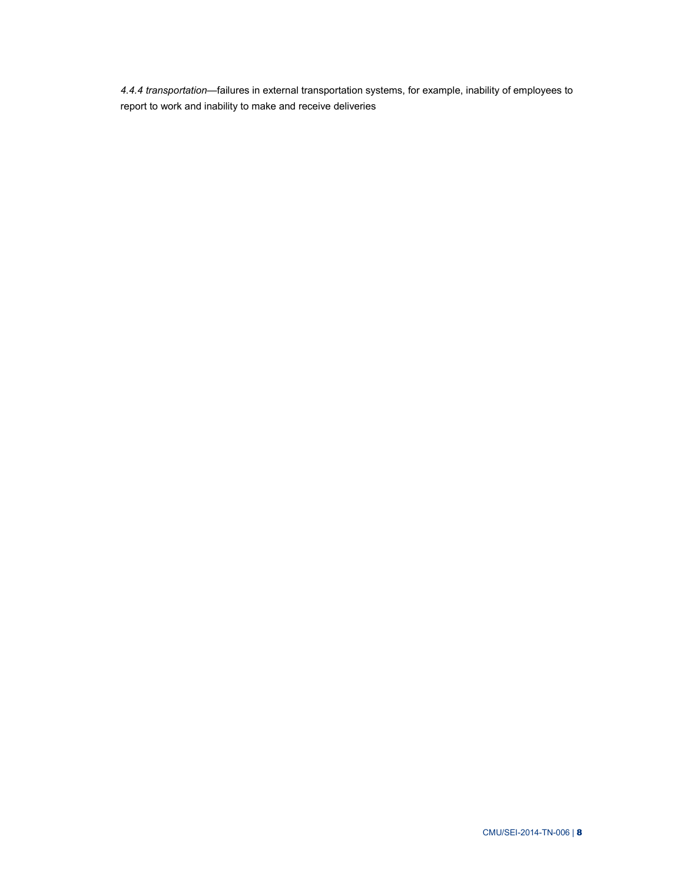*4.4.4 transportation*—failures in external transportation systems, for example, inability of employees to report to work and inability to make and receive deliveries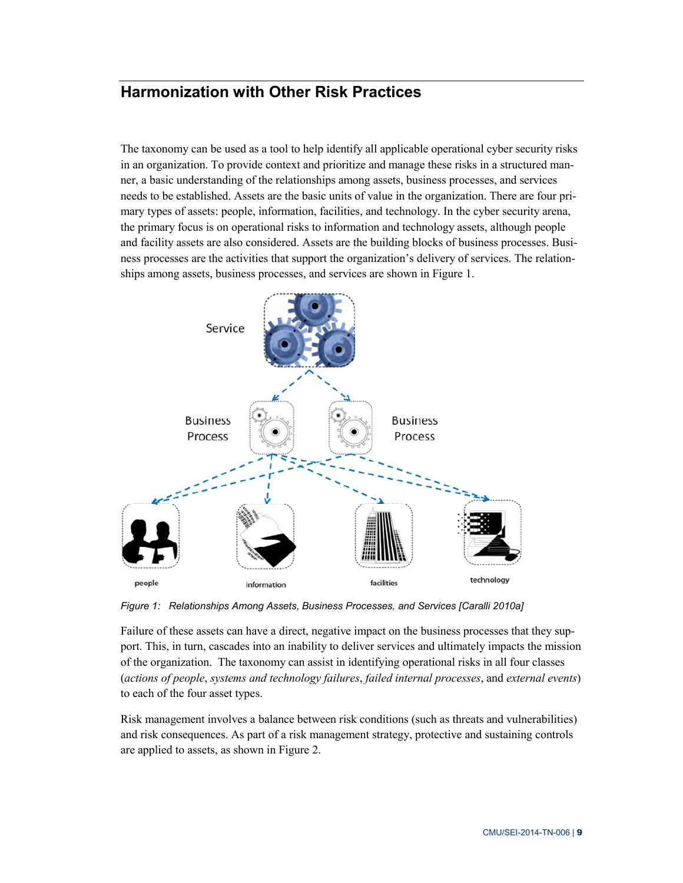# **Harmonization with Other Risk Practices**

The taxonomy can be used as a tool to help identify all applicable operational cyber security risks in an organization. To provide context and prioritize and manage these risks in a structured manner, a basic understanding of the relationships among assets, business processes, and services needs to be established. Assets are the basic units of value in the organization. There are four primary types of assets: people, information, facilities, and technology. In the cyber security arena, the primary focus is on operational risks to information and technology assets, although people and facility assets are also considered. Assets are the building blocks of business processes. Business processes are the activities that support the organization's delivery of services. The relationships among assets, business processes, and services are shown in Figure 1.



*Figure 1: Relationships Among Assets, Business Processes, and Services [Caralli 2010a]* 

Failure of these assets can have a direct, negative impact on the business processes that they support. This, in turn, cascades into an inability to deliver services and ultimately impacts the mission of the organization. The taxonomy can assist in identifying operational risks in all four classes (*actions of people*, *systems and technology failures*, *failed internal processes*, and *external events*) to each of the four asset types.

Risk management involves a balance between risk conditions (such as threats and vulnerabilities) and risk consequences. As part of a risk management strategy, protective and sustaining controls are applied to assets, as shown in Figure 2.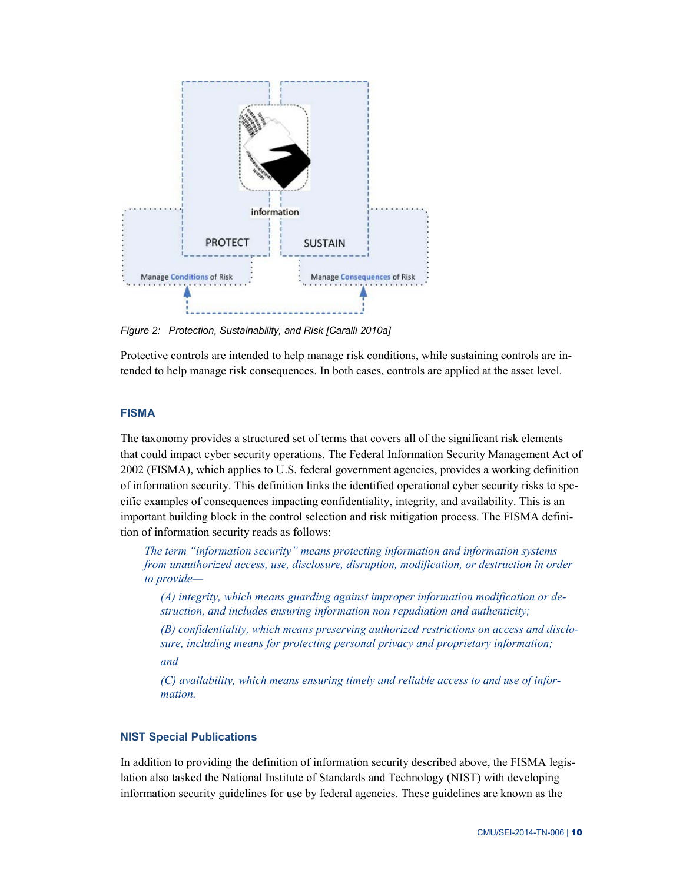

*Figure 2: Protection, Sustainability, and Risk [Caralli 2010a]* 

Protective controls are intended to help manage risk conditions, while sustaining controls are intended to help manage risk consequences. In both cases, controls are applied at the asset level.

#### **FISMA**

The taxonomy provides a structured set of terms that covers all of the significant risk elements that could impact cyber security operations. The Federal Information Security Management Act of 2002 (FISMA), which applies to U.S. federal government agencies, provides a working definition of information security. This definition links the identified operational cyber security risks to specific examples of consequences impacting confidentiality, integrity, and availability. This is an important building block in the control selection and risk mitigation process. The FISMA definition of information security reads as follows:

*The term "information security" means protecting information and information systems from unauthorized access, use, disclosure, disruption, modification, or destruction in order to provide—* 

*(A) integrity, which means guarding against improper information modification or destruction, and includes ensuring information non repudiation and authenticity;* 

*(B) confidentiality, which means preserving authorized restrictions on access and disclosure, including means for protecting personal privacy and proprietary information;* 

*and* 

*(C) availability, which means ensuring timely and reliable access to and use of information.* 

#### **NIST Special Publications**

In addition to providing the definition of information security described above, the FISMA legislation also tasked the National Institute of Standards and Technology (NIST) with developing information security guidelines for use by federal agencies. These guidelines are known as the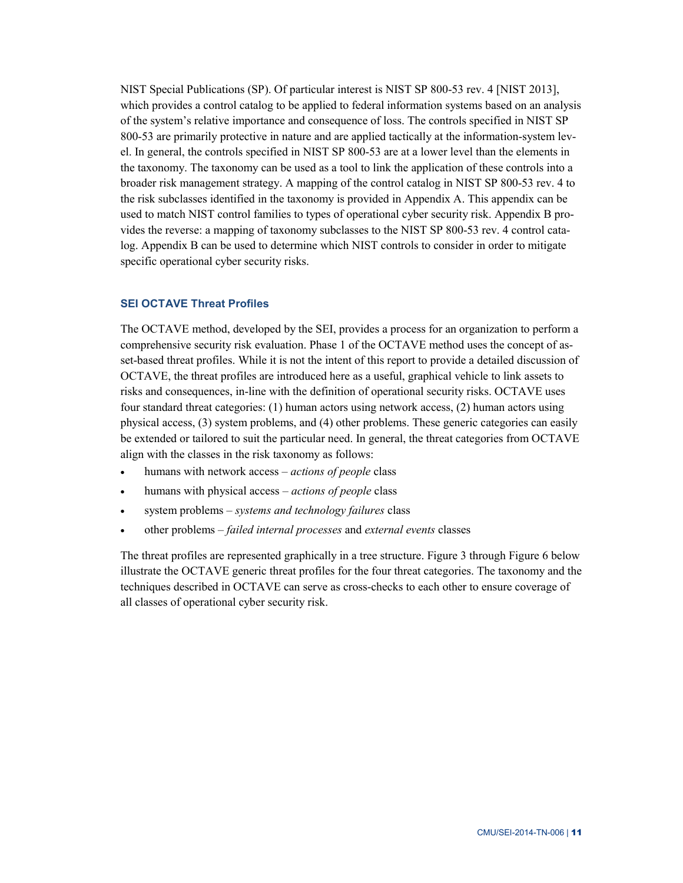NIST Special Publications (SP). Of particular interest is NIST SP 800-53 rev. 4 [NIST 2013], which provides a control catalog to be applied to federal information systems based on an analysis of the system's relative importance and consequence of loss. The controls specified in NIST SP 800-53 are primarily protective in nature and are applied tactically at the information-system level. In general, the controls specified in NIST SP 800-53 are at a lower level than the elements in the taxonomy. The taxonomy can be used as a tool to link the application of these controls into a broader risk management strategy. A mapping of the control catalog in NIST SP 800-53 rev. 4 to the risk subclasses identified in the taxonomy is provided in Appendix A. This appendix can be used to match NIST control families to types of operational cyber security risk. Appendix B provides the reverse: a mapping of taxonomy subclasses to the NIST SP 800-53 rev. 4 control catalog. Appendix B can be used to determine which NIST controls to consider in order to mitigate specific operational cyber security risks.

### **SEI OCTAVE Threat Profiles**

The OCTAVE method, developed by the SEI, provides a process for an organization to perform a comprehensive security risk evaluation. Phase 1 of the OCTAVE method uses the concept of asset-based threat profiles. While it is not the intent of this report to provide a detailed discussion of OCTAVE, the threat profiles are introduced here as a useful, graphical vehicle to link assets to risks and consequences, in-line with the definition of operational security risks. OCTAVE uses four standard threat categories: (1) human actors using network access, (2) human actors using physical access, (3) system problems, and (4) other problems. These generic categories can easily be extended or tailored to suit the particular need. In general, the threat categories from OCTAVE align with the classes in the risk taxonomy as follows:

- humans with network access *actions of people* class
- humans with physical access *actions of people* class
- system problems *systems and technology failures* class
- other problems *failed internal processes* and *external events* classes

The threat profiles are represented graphically in a tree structure. Figure 3 through Figure 6 below illustrate the OCTAVE generic threat profiles for the four threat categories. The taxonomy and the techniques described in OCTAVE can serve as cross-checks to each other to ensure coverage of all classes of operational cyber security risk.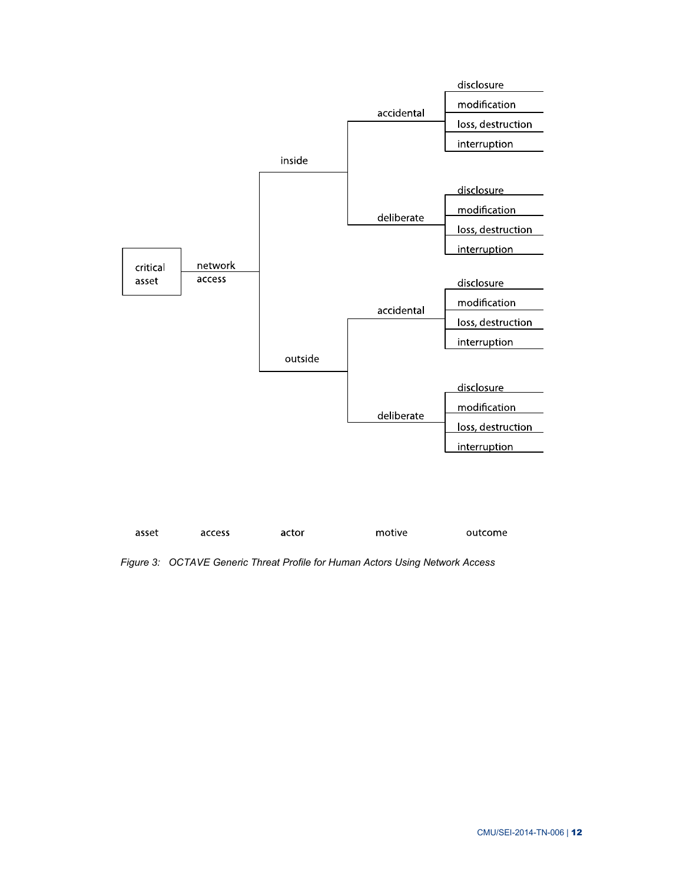

*Figure 3: OCTAVE Generic Threat Profile for Human Actors Using Network Access*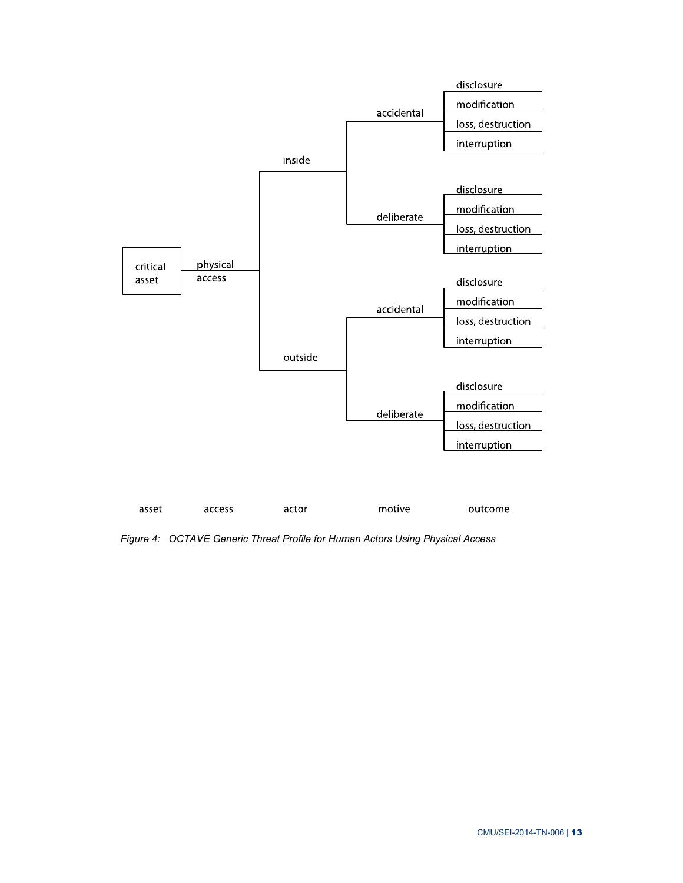

*Figure 4: OCTAVE Generic Threat Profile for Human Actors Using Physical Access*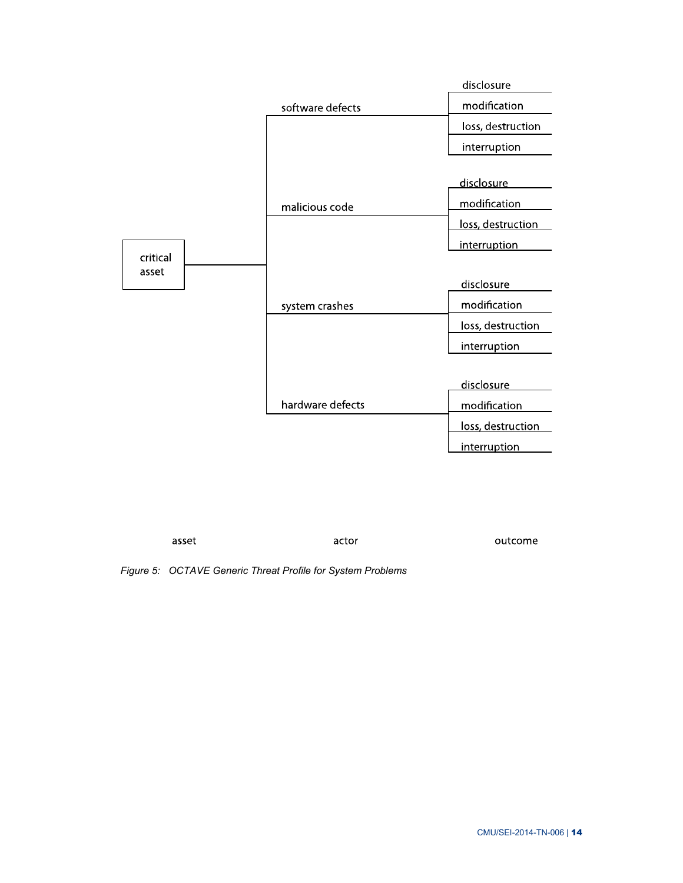

asset

actor

outcome

*Figure 5: OCTAVE Generic Threat Profile for System Problems*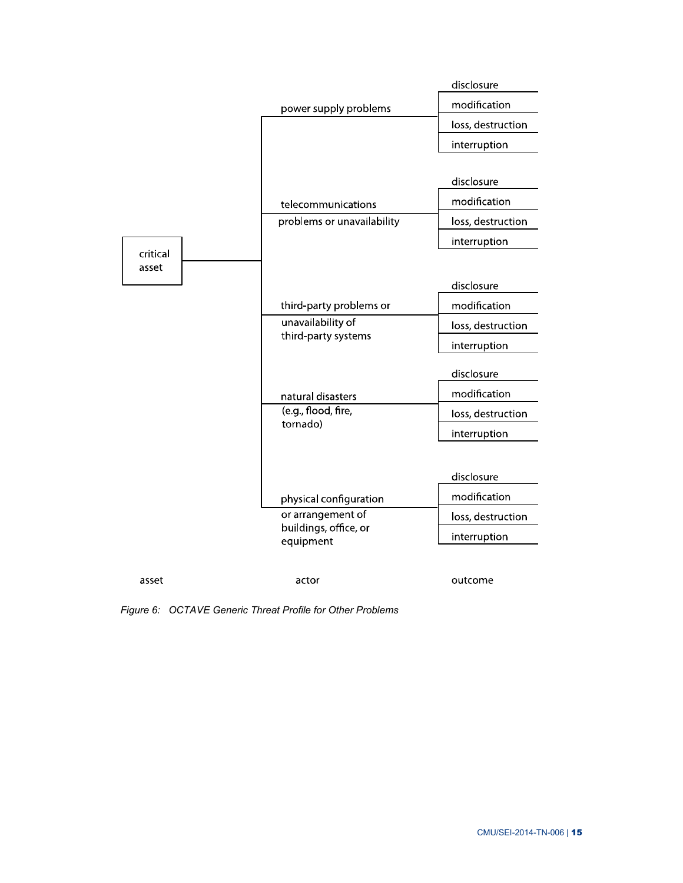

*Figure 6: OCTAVE Generic Threat Profile for Other Problems*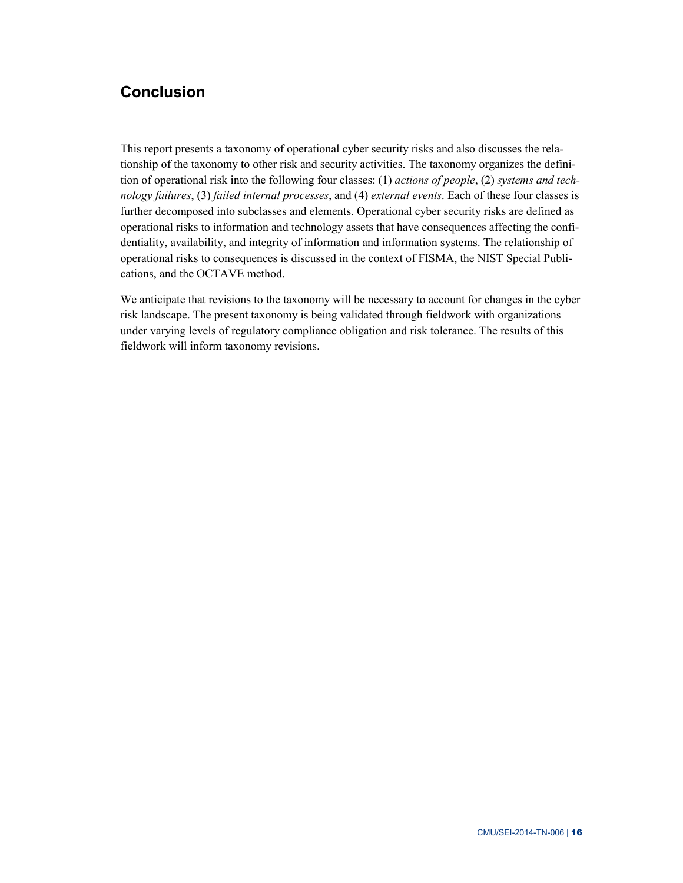# **Conclusion**

This report presents a taxonomy of operational cyber security risks and also discusses the relationship of the taxonomy to other risk and security activities. The taxonomy organizes the definition of operational risk into the following four classes: (1) *actions of people*, (2) *systems and technology failures*, (3) *failed internal processes*, and (4) *external events*. Each of these four classes is further decomposed into subclasses and elements. Operational cyber security risks are defined as operational risks to information and technology assets that have consequences affecting the confidentiality, availability, and integrity of information and information systems. The relationship of operational risks to consequences is discussed in the context of FISMA, the NIST Special Publications, and the OCTAVE method.

We anticipate that revisions to the taxonomy will be necessary to account for changes in the cyber risk landscape. The present taxonomy is being validated through fieldwork with organizations under varying levels of regulatory compliance obligation and risk tolerance. The results of this fieldwork will inform taxonomy revisions.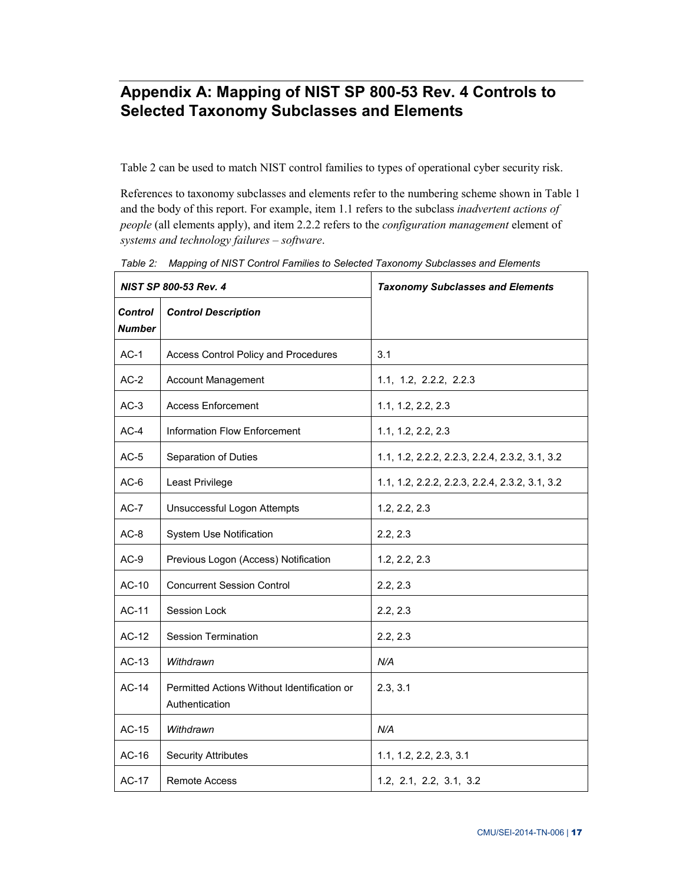# **Appendix A: Mapping of NIST SP 800-53 Rev. 4 Controls to Selected Taxonomy Subclasses and Elements**

Table 2 can be used to match NIST control families to types of operational cyber security risk.

References to taxonomy subclasses and elements refer to the numbering scheme shown in Table 1 and the body of this report. For example, item 1.1 refers to the subclass *inadvertent actions of people* (all elements apply), and item 2.2.2 refers to the *configuration management* element of *systems and technology failures – software*.

| NIST SP 800-53 Rev. 4    |                                                               | <b>Taxonomy Subclasses and Elements</b>        |
|--------------------------|---------------------------------------------------------------|------------------------------------------------|
| Control<br><b>Number</b> | <b>Control Description</b>                                    |                                                |
| $AC-1$                   | Access Control Policy and Procedures                          | 3.1                                            |
| $AC-2$                   | <b>Account Management</b>                                     | 1.1, 1.2, 2.2.2, 2.2.3                         |
| $AC-3$                   | <b>Access Enforcement</b>                                     | 1.1, 1.2, 2.2, 2.3                             |
| $AC-4$                   | Information Flow Enforcement                                  | 1.1, 1.2, 2.2, 2.3                             |
| $AC-5$                   | Separation of Duties                                          | 1.1, 1.2, 2.2.2, 2.2.3, 2.2.4, 2.3.2, 3.1, 3.2 |
| $AC-6$                   | Least Privilege                                               | 1.1, 1.2, 2.2.2, 2.2.3, 2.2.4, 2.3.2, 3.1, 3.2 |
| $AC-7$                   | Unsuccessful Logon Attempts                                   | 1.2, 2.2, 2.3                                  |
| $AC-8$                   | System Use Notification                                       | 2.2, 2.3                                       |
| $AC-9$                   | Previous Logon (Access) Notification                          | 1.2, 2.2, 2.3                                  |
| AC-10                    | <b>Concurrent Session Control</b>                             | 2.2, 2.3                                       |
| AC-11                    | <b>Session Lock</b>                                           | 2.2, 2.3                                       |
| $AC-12$                  | <b>Session Termination</b>                                    | 2.2, 2.3                                       |
| $AC-13$                  | Withdrawn                                                     | N/A                                            |
| $AC-14$                  | Permitted Actions Without Identification or<br>Authentication | 2.3, 3.1                                       |
| AC-15                    | Withdrawn                                                     | N/A                                            |
| $AC-16$                  | <b>Security Attributes</b>                                    | 1.1, 1.2, 2.2, 2.3, 3.1                        |
| AC-17                    | <b>Remote Access</b>                                          | 1.2, 2.1, 2.2, 3.1, 3.2                        |

*Table 2: Mapping of NIST Control Families to Selected Taxonomy Subclasses and Elements*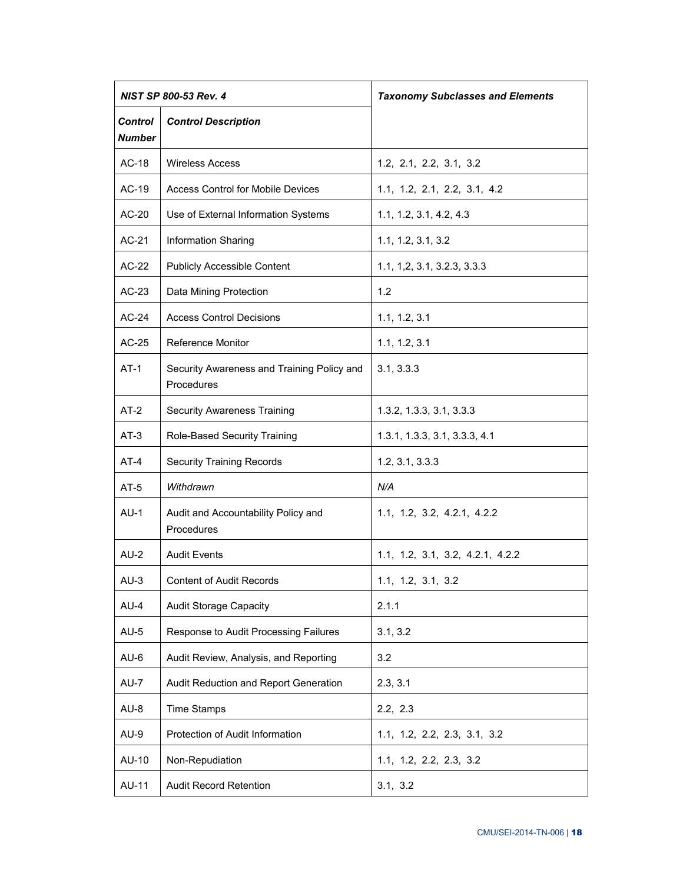| NIST SP 800-53 Rev. 4    |                                                          | <b>Taxonomy Subclasses and Elements</b> |
|--------------------------|----------------------------------------------------------|-----------------------------------------|
| Control<br><b>Number</b> | <b>Control Description</b>                               |                                         |
| $AC-18$                  | <b>Wireless Access</b>                                   | 1.2, 2.1, 2.2, 3.1, 3.2                 |
| AC-19                    | <b>Access Control for Mobile Devices</b>                 | 1.1, 1.2, 2.1, 2.2, 3.1, 4.2            |
| AC-20                    | Use of External Information Systems                      | 1.1, 1.2, 3.1, 4.2, 4.3                 |
| AC-21                    | Information Sharing                                      | 1.1, 1.2, 3.1, 3.2                      |
| AC-22                    | <b>Publicly Accessible Content</b>                       | 1.1, 1,2, 3.1, 3.2.3, 3.3.3             |
| $AC-23$                  | Data Mining Protection                                   | 1.2                                     |
| $AC-24$                  | <b>Access Control Decisions</b>                          | 1.1, 1.2, 3.1                           |
| AC-25                    | Reference Monitor                                        | 1.1, 1.2, 3.1                           |
| $AT-1$                   | Security Awareness and Training Policy and<br>Procedures | 3.1, 3.3.3                              |
| $AT-2$                   | <b>Security Awareness Training</b>                       | 1.3.2, 1.3.3, 3.1, 3.3.3                |
| $AT-3$                   | Role-Based Security Training                             | 1.3.1, 1.3.3, 3.1, 3.3.3, 4.1           |
| AT-4                     | <b>Security Training Records</b>                         | 1.2, 3.1, 3.3.3                         |
| $AT-5$                   | Withdrawn                                                | N/A                                     |
| $AU-1$                   | Audit and Accountability Policy and<br>Procedures        | 1.1, 1.2, 3.2, 4.2.1, 4.2.2             |
| $AU-2$                   | <b>Audit Events</b>                                      | 1.1, 1.2, 3.1, 3.2, 4.2.1, 4.2.2        |
| $AU-3$                   | <b>Content of Audit Records</b>                          | 1.1, 1.2, 3.1, 3.2                      |
| AU-4                     | <b>Audit Storage Capacity</b>                            | 2.1.1                                   |
| $AU-5$                   | Response to Audit Processing Failures                    | 3.1, 3.2                                |
| $AU-6$                   | Audit Review, Analysis, and Reporting                    | 3.2                                     |
| AU-7                     | Audit Reduction and Report Generation                    | 2.3, 3.1                                |
| $AU-8$                   | <b>Time Stamps</b>                                       | 2.2, 2.3                                |
| AU-9                     | Protection of Audit Information                          | 1.1, 1.2, 2.2, 2.3, 3.1, 3.2            |
| AU-10                    | Non-Repudiation                                          | 1.1, 1.2, 2.2, 2.3, 3.2                 |
| AU-11                    | <b>Audit Record Retention</b>                            | 3.1, 3.2                                |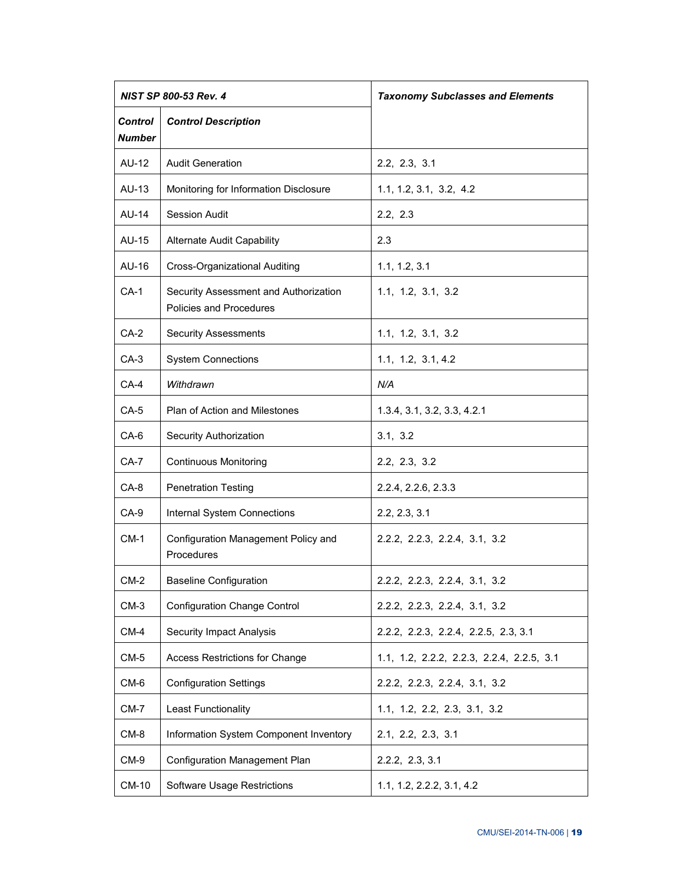| <b>NIST SP 800-53 Rev. 4</b>    |                                                                  | <b>Taxonomy Subclasses and Elements</b>   |
|---------------------------------|------------------------------------------------------------------|-------------------------------------------|
| <b>Control</b><br><b>Number</b> | <b>Control Description</b>                                       |                                           |
| <b>AU-12</b>                    | <b>Audit Generation</b>                                          | 2.2, 2.3, 3.1                             |
| AU-13                           | Monitoring for Information Disclosure                            | 1.1, 1.2, 3.1, 3.2, 4.2                   |
| AU-14                           | Session Audit                                                    | 2.2, 2.3                                  |
| AU-15                           | <b>Alternate Audit Capability</b>                                | 2.3                                       |
| AU-16                           | Cross-Organizational Auditing                                    | 1.1, 1.2, 3.1                             |
| $CA-1$                          | Security Assessment and Authorization<br>Policies and Procedures | 1.1, 1.2, 3.1, 3.2                        |
| $CA-2$                          | <b>Security Assessments</b>                                      | 1.1, 1.2, 3.1, 3.2                        |
| $CA-3$                          | <b>System Connections</b>                                        | 1.1, 1.2, 3.1, 4.2                        |
| $CA-4$                          | Withdrawn                                                        | N/A                                       |
| $CA-5$                          | Plan of Action and Milestones                                    | 1.3.4, 3.1, 3.2, 3.3, 4.2.1               |
| CA-6                            | Security Authorization                                           | 3.1, 3.2                                  |
| $CA-7$                          | <b>Continuous Monitoring</b>                                     | 2.2, 2.3, 3.2                             |
| CA-8                            | <b>Penetration Testing</b>                                       | 2.2.4, 2.2.6, 2.3.3                       |
| CA-9                            | Internal System Connections                                      | 2.2, 2.3, 3.1                             |
| $CM-1$                          | Configuration Management Policy and<br>Procedures                | 2.2.2, 2.2.3, 2.2.4, 3.1, 3.2             |
| $CM-2$                          | <b>Baseline Configuration</b>                                    | 2.2.2, 2.2.3, 2.2.4, 3.1, 3.2             |
| $CM-3$                          | <b>Configuration Change Control</b>                              | 2.2.2, 2.2.3, 2.2.4, 3.1, 3.2             |
| $CM-4$                          | <b>Security Impact Analysis</b>                                  | 2.2.2, 2.2.3, 2.2.4, 2.2.5, 2.3, 3.1      |
| $CM-5$                          | Access Restrictions for Change                                   | 1.1, 1.2, 2.2.2, 2.2.3, 2.2.4, 2.2.5, 3.1 |
| CM-6                            | <b>Configuration Settings</b>                                    | 2.2.2, 2.2.3, 2.2.4, 3.1, 3.2             |
| $CM-7$                          | Least Functionality                                              | 1.1, 1.2, 2.2, 2.3, 3.1, 3.2              |
| CM-8                            | Information System Component Inventory                           | 2.1, 2.2, 2.3, 3.1                        |
| CM-9                            | Configuration Management Plan                                    | 2.2.2, 2.3, 3.1                           |
| <b>CM-10</b>                    | <b>Software Usage Restrictions</b>                               | 1.1, 1.2, 2.2.2, 3.1, 4.2                 |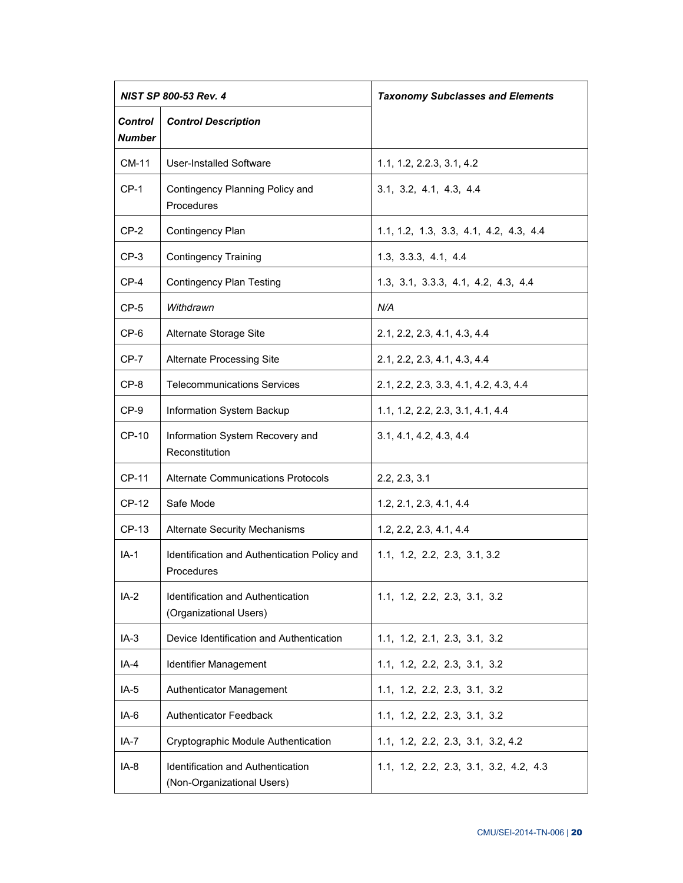| <b>NIST SP 800-53 Rev. 4</b> |                                                                 | <b>Taxonomy Subclasses and Elements</b>  |
|------------------------------|-----------------------------------------------------------------|------------------------------------------|
| Control<br><b>Number</b>     | <b>Control Description</b>                                      |                                          |
| <b>CM-11</b>                 | <b>User-Installed Software</b>                                  | 1.1, 1.2, 2.2.3, 3.1, 4.2                |
| $CP-1$                       | Contingency Planning Policy and<br>Procedures                   | 3.1, 3.2, 4.1, 4.3, 4.4                  |
| $CP-2$                       | Contingency Plan                                                | $1.1, 1.2, 1.3, 3.3, 4.1, 4.2, 4.3, 4.4$ |
| $CP-3$                       | <b>Contingency Training</b>                                     | 1.3, 3.3.3, 4.1, 4.4                     |
| $CP-4$                       | <b>Contingency Plan Testing</b>                                 | 1.3, 3.1, 3.3.3, 4.1, 4.2, 4.3, 4.4      |
| $CP-5$                       | Withdrawn                                                       | N/A                                      |
| $CP-6$                       | Alternate Storage Site                                          | 2.1, 2.2, 2.3, 4.1, 4.3, 4.4             |
| $CP-7$                       | Alternate Processing Site                                       | 2.1, 2.2, 2.3, 4.1, 4.3, 4.4             |
| $CP-8$                       | <b>Telecommunications Services</b>                              | 2.1, 2.2, 2.3, 3.3, 4.1, 4.2, 4.3, 4.4   |
| $CP-9$                       | Information System Backup                                       | 1.1, 1.2, 2.2, 2.3, 3.1, 4.1, 4.4        |
| <b>CP-10</b>                 | Information System Recovery and<br>Reconstitution               | 3.1, 4.1, 4.2, 4.3, 4.4                  |
| <b>CP-11</b>                 | Alternate Communications Protocols                              | 2.2, 2.3, 3.1                            |
| CP-12                        | Safe Mode                                                       | 1.2, 2.1, 2.3, 4.1, 4.4                  |
| CP-13                        | <b>Alternate Security Mechanisms</b>                            | 1.2, 2.2, 2.3, 4.1, 4.4                  |
| $IA-1$                       | Identification and Authentication Policy and<br>Procedures      | 1.1, 1.2, 2.2, 2.3, 3.1, 3.2             |
| $IA-2$                       | Identification and Authentication<br>(Organizational Users)     | 1.1, 1.2, 2.2, 2.3, 3.1, 3.2             |
| $IA-3$                       | Device Identification and Authentication                        | 1.1, 1.2, 2.1, 2.3, 3.1, 3.2             |
| IA-4                         | Identifier Management                                           | 1.1, 1.2, 2.2, 2.3, 3.1, 3.2             |
| IA-5                         | Authenticator Management                                        | 1.1, 1.2, 2.2, 2.3, 3.1, 3.2             |
| IA-6                         | <b>Authenticator Feedback</b>                                   | 1.1, 1.2, 2.2, 2.3, 3.1, 3.2             |
| IA-7                         | Cryptographic Module Authentication                             | 1.1, 1.2, 2.2, 2.3, 3.1, 3.2, 4.2        |
| $IA-8$                       | Identification and Authentication<br>(Non-Organizational Users) | 1.1, 1.2, 2.2, 2.3, 3.1, 3.2, 4.2, 4.3   |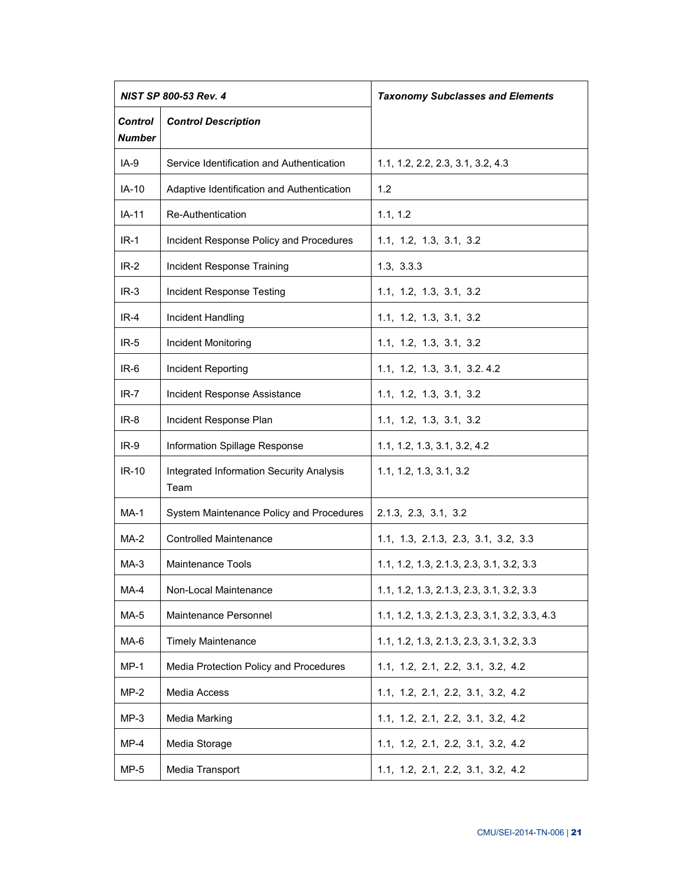| NIST SP 800-53 Rev. 4    |                                                         | <b>Taxonomy Subclasses and Elements</b>       |
|--------------------------|---------------------------------------------------------|-----------------------------------------------|
| Control<br><b>Number</b> | <b>Control Description</b>                              |                                               |
| $IA-9$                   | Service Identification and Authentication               | 1.1, 1.2, 2.2, 2.3, 3.1, 3.2, 4.3             |
| IA-10                    | Adaptive Identification and Authentication              | 1.2                                           |
| $IA-11$                  | Re-Authentication                                       | 1.1, 1.2                                      |
| $IR-1$                   | Incident Response Policy and Procedures                 | 1.1, 1.2, 1.3, 3.1, 3.2                       |
| $IR-2$                   | Incident Response Training                              | 1.3, 3.3.3                                    |
| $IR-3$                   | Incident Response Testing                               | 1.1, 1.2, 1.3, 3.1, 3.2                       |
| $IR-4$                   | Incident Handling                                       | 1.1, 1.2, 1.3, 3.1, 3.2                       |
| $IR-5$                   | <b>Incident Monitoring</b>                              | 1.1, 1.2, 1.3, 3.1, 3.2                       |
| $IR-6$                   | Incident Reporting                                      | 1.1, 1.2, 1.3, 3.1, 3.2. 4.2                  |
| $IR-7$                   | Incident Response Assistance                            | 1.1, 1.2, 1.3, 3.1, 3.2                       |
| $IR-8$                   | Incident Response Plan                                  | 1.1, 1.2, 1.3, 3.1, 3.2                       |
| $IR-9$                   | Information Spillage Response                           | 1.1, 1.2, 1.3, 3.1, 3.2, 4.2                  |
| $IR-10$                  | <b>Integrated Information Security Analysis</b><br>Team | 1.1, 1.2, 1.3, 3.1, 3.2                       |
| $MA-1$                   | System Maintenance Policy and Procedures                | 2.1.3, 2.3, 3.1, 3.2                          |
| $MA-2$                   | <b>Controlled Maintenance</b>                           | 1.1, 1.3, 2.1.3, 2.3, 3.1, 3.2, 3.3           |
| $MA-3$                   | Maintenance Tools                                       | 1.1, 1.2, 1.3, 2.1.3, 2.3, 3.1, 3.2, 3.3      |
| MA-4                     | Non-Local Maintenance                                   | 1.1, 1.2, 1.3, 2.1.3, 2.3, 3.1, 3.2, 3.3      |
| MA-5                     | Maintenance Personnel                                   | 1.1, 1.2, 1.3, 2.1.3, 2.3, 3.1, 3.2, 3.3, 4.3 |
| MA-6                     | <b>Timely Maintenance</b>                               | 1.1, 1.2, 1.3, 2.1.3, 2.3, 3.1, 3.2, 3.3      |
| $MP-1$                   | Media Protection Policy and Procedures                  | 1.1, 1.2, 2.1, 2.2, 3.1, 3.2, 4.2             |
| $MP-2$                   | Media Access                                            | 1.1, 1.2, 2.1, 2.2, 3.1, 3.2, 4.2             |
| $MP-3$                   | Media Marking                                           | 1.1, 1.2, 2.1, 2.2, 3.1, 3.2, 4.2             |
| $MP-4$                   | Media Storage                                           | 1.1, 1.2, 2.1, 2.2, 3.1, 3.2, 4.2             |
| $MP-5$                   | Media Transport                                         | 1.1, 1.2, 2.1, 2.2, 3.1, 3.2, 4.2             |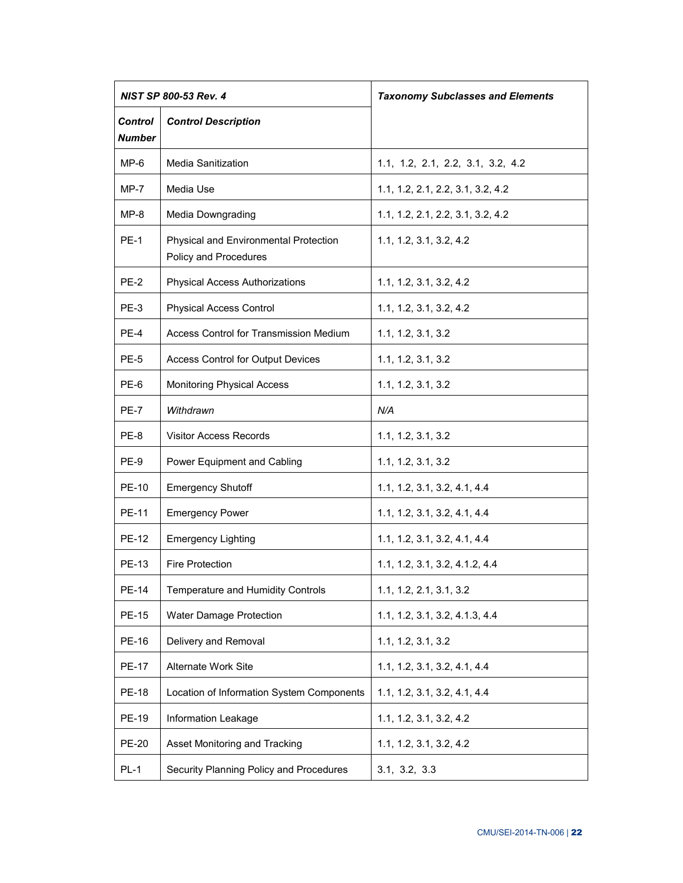| NIST SP 800-53 Rev. 4           |                                                                | <b>Taxonomy Subclasses and Elements</b> |
|---------------------------------|----------------------------------------------------------------|-----------------------------------------|
| <b>Control</b><br><b>Number</b> | <b>Control Description</b>                                     |                                         |
| $MP-6$                          | Media Sanitization                                             | 1.1, 1.2, 2.1, 2.2, 3.1, 3.2, 4.2       |
| $MP-7$                          | Media Use                                                      | 1.1, 1.2, 2.1, 2.2, 3.1, 3.2, 4.2       |
| $MP-8$                          | Media Downgrading                                              | 1.1, 1.2, 2.1, 2.2, 3.1, 3.2, 4.2       |
| <b>PE-1</b>                     | Physical and Environmental Protection<br>Policy and Procedures | 1.1, 1.2, 3.1, 3.2, 4.2                 |
| <b>PE-2</b>                     | <b>Physical Access Authorizations</b>                          | 1.1, 1.2, 3.1, 3.2, 4.2                 |
| PE-3                            | <b>Physical Access Control</b>                                 | 1.1, 1.2, 3.1, 3.2, 4.2                 |
| $PE-4$                          | Access Control for Transmission Medium                         | 1.1, 1.2, 3.1, 3.2                      |
| <b>PE-5</b>                     | Access Control for Output Devices                              | 1.1, 1.2, 3.1, 3.2                      |
| PE-6                            | <b>Monitoring Physical Access</b>                              | 1.1, 1.2, 3.1, 3.2                      |
| <b>PE-7</b>                     | Withdrawn                                                      | N/A                                     |
| <b>PE-8</b>                     | <b>Visitor Access Records</b>                                  | 1.1, 1.2, 3.1, 3.2                      |
| PE-9                            | Power Equipment and Cabling                                    | 1.1, 1.2, 3.1, 3.2                      |
| PE-10                           | <b>Emergency Shutoff</b>                                       | 1.1, 1.2, 3.1, 3.2, 4.1, 4.4            |
| <b>PE-11</b>                    | <b>Emergency Power</b>                                         | 1.1, 1.2, 3.1, 3.2, 4.1, 4.4            |
| <b>PE-12</b>                    | <b>Emergency Lighting</b>                                      | 1.1, 1.2, 3.1, 3.2, 4.1, 4.4            |
| PE-13                           | <b>Fire Protection</b>                                         | 1.1, 1.2, 3.1, 3.2, 4.1.2, 4.4          |
| <b>PE-14</b>                    | Temperature and Humidity Controls                              | 1.1, 1.2, 2.1, 3.1, 3.2                 |
| <b>PE-15</b>                    | Water Damage Protection                                        | 1.1, 1.2, 3.1, 3.2, 4.1.3, 4.4          |
| PE-16                           | Delivery and Removal                                           | 1.1, 1.2, 3.1, 3.2                      |
| <b>PE-17</b>                    | Alternate Work Site                                            | 1.1, 1.2, 3.1, 3.2, 4.1, 4.4            |
| <b>PE-18</b>                    | Location of Information System Components                      | 1.1, 1.2, 3.1, 3.2, 4.1, 4.4            |
| PE-19                           | Information Leakage                                            | 1.1, 1.2, 3.1, 3.2, 4.2                 |
| <b>PE-20</b>                    | Asset Monitoring and Tracking                                  | 1.1, 1.2, 3.1, 3.2, 4.2                 |
| $PL-1$                          | Security Planning Policy and Procedures                        | 3.1, 3.2, 3.3                           |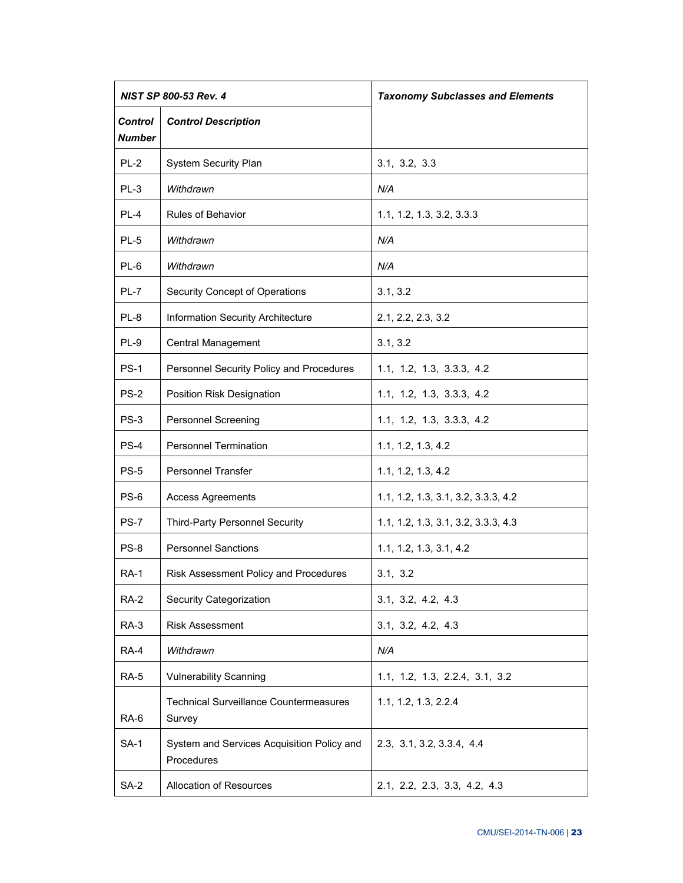| NIST SP 800-53 Rev. 4           |                                                          | <b>Taxonomy Subclasses and Elements</b> |
|---------------------------------|----------------------------------------------------------|-----------------------------------------|
| <b>Control</b><br><b>Number</b> | <b>Control Description</b>                               |                                         |
| $PL-2$                          | <b>System Security Plan</b>                              | 3.1, 3.2, 3.3                           |
| $PL-3$                          | Withdrawn                                                | N/A                                     |
| $PL-4$                          | Rules of Behavior                                        | 1.1, 1.2, 1.3, 3.2, 3.3.3               |
| $PL-5$                          | Withdrawn                                                | N/A                                     |
| $PL-6$                          | Withdrawn                                                | N/A                                     |
| $PL-7$                          | Security Concept of Operations                           | 3.1, 3.2                                |
| $PL-8$                          | Information Security Architecture                        | 2.1, 2.2, 2.3, 3.2                      |
| PL-9                            | Central Management                                       | 3.1, 3.2                                |
| <b>PS-1</b>                     | Personnel Security Policy and Procedures                 | 1.1, 1.2, 1.3, 3.3.3, 4.2               |
| $PS-2$                          | Position Risk Designation                                | 1.1, 1.2, 1.3, 3.3.3, 4.2               |
| $PS-3$                          | <b>Personnel Screening</b>                               | 1.1, 1.2, 1.3, 3.3.3, 4.2               |
| $PS-4$                          | <b>Personnel Termination</b>                             | 1.1, 1.2, 1.3, 4.2                      |
| <b>PS-5</b>                     | <b>Personnel Transfer</b>                                | 1.1, 1.2, 1.3, 4.2                      |
| $PS-6$                          | Access Agreements                                        | 1.1, 1.2, 1.3, 3.1, 3.2, 3.3.3, 4.2     |
| <b>PS-7</b>                     | <b>Third-Party Personnel Security</b>                    | 1.1, 1.2, 1.3, 3.1, 3.2, 3.3.3, 4.3     |
| <b>PS-8</b>                     | <b>Personnel Sanctions</b>                               | 1.1, 1.2, 1.3, 3.1, 4.2                 |
| $RA-1$                          | Risk Assessment Policy and Procedures                    | 3.1, 3.2                                |
| <b>RA-2</b>                     | Security Categorization                                  | 3.1, 3.2, 4.2, 4.3                      |
| $RA-3$                          | <b>Risk Assessment</b>                                   | 3.1, 3.2, 4.2, 4.3                      |
| RA-4                            | Withdrawn                                                | N/A                                     |
| RA-5                            | <b>Vulnerability Scanning</b>                            | 1.1, 1.2, 1.3, 2.2.4, 3.1, 3.2          |
| RA-6                            | <b>Technical Surveillance Countermeasures</b><br>Survey  | 1.1, 1.2, 1.3, 2.2.4                    |
| $SA-1$                          | System and Services Acquisition Policy and<br>Procedures | 2.3, 3.1, 3.2, 3.3.4, 4.4               |
| $SA-2$                          | Allocation of Resources                                  | 2.1, 2.2, 2.3, 3.3, 4.2, 4.3            |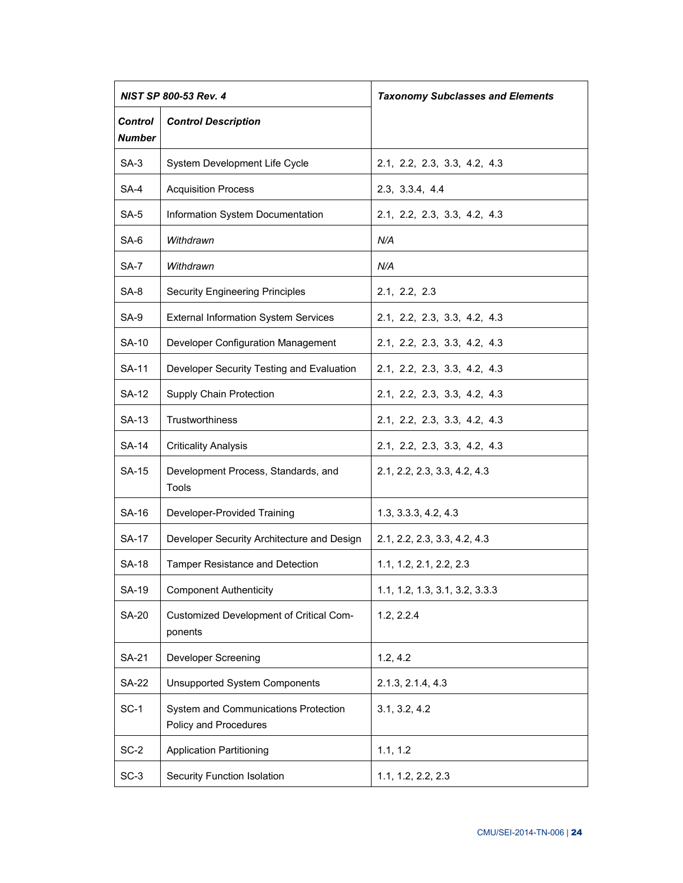| <b>NIST SP 800-53 Rev. 4</b> |                                                               | <b>Taxonomy Subclasses and Elements</b> |
|------------------------------|---------------------------------------------------------------|-----------------------------------------|
| Control<br><b>Number</b>     | <b>Control Description</b>                                    |                                         |
| $SA-3$                       | System Development Life Cycle                                 | 2.1, 2.2, 2.3, 3.3, 4.2, 4.3            |
| $SA-4$                       | <b>Acquisition Process</b>                                    | 2.3, 3.3.4, 4.4                         |
| $SA-5$                       | Information System Documentation                              | 2.1, 2.2, 2.3, 3.3, 4.2, 4.3            |
| $SA-6$                       | Withdrawn                                                     | N/A                                     |
| SA-7                         | Withdrawn                                                     | N/A                                     |
| SA-8                         | <b>Security Engineering Principles</b>                        | 2.1, 2.2, 2.3                           |
| SA-9                         | <b>External Information System Services</b>                   | 2.1, 2.2, 2.3, 3.3, 4.2, 4.3            |
| SA-10                        | Developer Configuration Management                            | 2.1, 2.2, 2.3, 3.3, 4.2, 4.3            |
| SA-11                        | Developer Security Testing and Evaluation                     | 2.1, 2.2, 2.3, 3.3, 4.2, 4.3            |
| SA-12                        | Supply Chain Protection                                       | 2.1, 2.2, 2.3, 3.3, 4.2, 4.3            |
| SA-13                        | <b>Trustworthiness</b>                                        | 2.1, 2.2, 2.3, 3.3, 4.2, 4.3            |
| SA-14                        | <b>Criticality Analysis</b>                                   | 2.1, 2.2, 2.3, 3.3, 4.2, 4.3            |
| SA-15                        | Development Process, Standards, and<br>Tools                  | 2.1, 2.2, 2.3, 3.3, 4.2, 4.3            |
| SA-16                        | Developer-Provided Training                                   | 1.3, 3.3.3, 4.2, 4.3                    |
| <b>SA-17</b>                 | Developer Security Architecture and Design                    | 2.1, 2.2, 2.3, 3.3, 4.2, 4.3            |
| <b>SA-18</b>                 | <b>Tamper Resistance and Detection</b>                        | 1.1, 1.2, 2.1, 2.2, 2.3                 |
| <b>SA-19</b>                 | <b>Component Authenticity</b>                                 | 1.1, 1.2, 1.3, 3.1, 3.2, 3.3.3          |
| <b>SA-20</b>                 | Customized Development of Critical Com-<br>ponents            | 1.2, 2.2.4                              |
| SA-21                        | Developer Screening                                           | 1.2, 4.2                                |
| <b>SA-22</b>                 | <b>Unsupported System Components</b>                          | 2.1.3, 2.1.4, 4.3                       |
| $SC-1$                       | System and Communications Protection<br>Policy and Procedures | 3.1, 3.2, 4.2                           |
| $SC-2$                       | <b>Application Partitioning</b>                               | 1.1, 1.2                                |
| $SC-3$                       | Security Function Isolation                                   | 1.1, 1.2, 2.2, 2.3                      |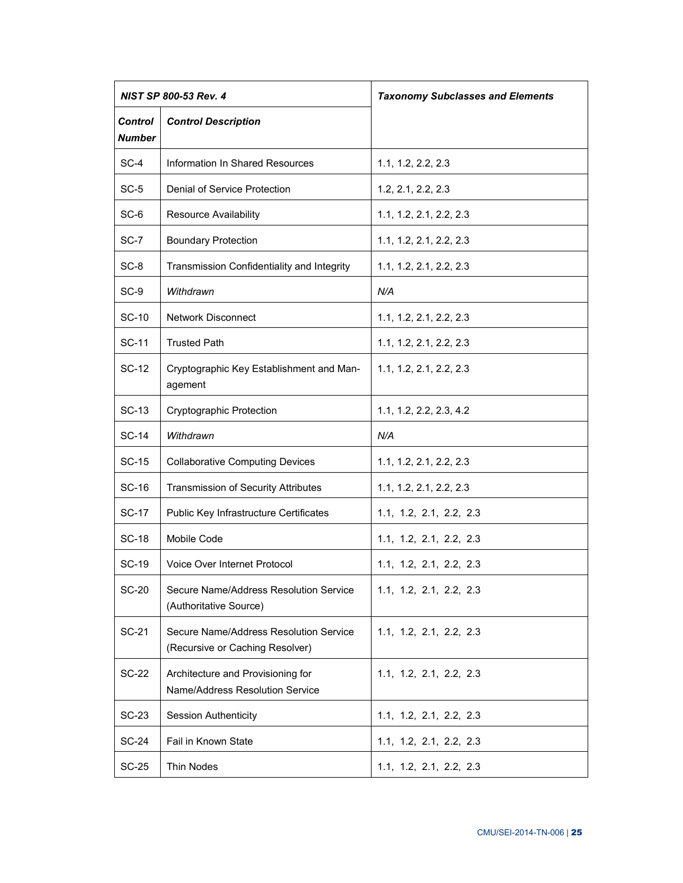| <b>NIST SP 800-53 Rev. 4</b>    |                                                                           | <b>Taxonomy Subclasses and Elements</b> |
|---------------------------------|---------------------------------------------------------------------------|-----------------------------------------|
| <b>Control</b><br><b>Number</b> | <b>Control Description</b>                                                |                                         |
| $SC-4$                          | Information In Shared Resources                                           | 1.1, 1.2, 2.2, 2.3                      |
| $SC-5$                          | Denial of Service Protection                                              | 1.2, 2.1, 2.2, 2.3                      |
| SC-6                            | Resource Availability                                                     | 1.1, 1.2, 2.1, 2.2, 2.3                 |
| $SC-7$                          | <b>Boundary Protection</b>                                                | 1.1, 1.2, 2.1, 2.2, 2.3                 |
| SC-8                            | Transmission Confidentiality and Integrity                                | 1.1, 1.2, 2.1, 2.2, 2.3                 |
| SC-9                            | Withdrawn                                                                 | N/A                                     |
| <b>SC-10</b>                    | <b>Network Disconnect</b>                                                 | 1.1, 1.2, 2.1, 2.2, 2.3                 |
| <b>SC-11</b>                    | <b>Trusted Path</b>                                                       | 1.1, 1.2, 2.1, 2.2, 2.3                 |
| SC-12                           | Cryptographic Key Establishment and Man-<br>agement                       | 1.1, 1.2, 2.1, 2.2, 2.3                 |
| <b>SC-13</b>                    | Cryptographic Protection                                                  | 1.1, 1.2, 2.2, 2.3, 4.2                 |
| SC-14                           | Withdrawn                                                                 | N/A                                     |
| SC-15                           | <b>Collaborative Computing Devices</b>                                    | 1.1, 1.2, 2.1, 2.2, 2.3                 |
| SC-16                           | <b>Transmission of Security Attributes</b>                                | 1.1, 1.2, 2.1, 2.2, 2.3                 |
| SC-17                           | Public Key Infrastructure Certificates                                    | 1.1, 1.2, 2.1, 2.2, 2.3                 |
| <b>SC-18</b>                    | Mobile Code                                                               | 1.1, 1.2, 2.1, 2.2, 2.3                 |
| <b>SC-19</b>                    | Voice Over Internet Protocol                                              | 1.1, 1.2, 2.1, 2.2, 2.3                 |
| <b>SC-20</b>                    | Secure Name/Address Resolution Service<br>(Authoritative Source)          | 1.1, 1.2, 2.1, 2.2, 2.3                 |
| <b>SC-21</b>                    | Secure Name/Address Resolution Service<br>(Recursive or Caching Resolver) | 1.1, 1.2, 2.1, 2.2, 2.3                 |
| SC-22                           | Architecture and Provisioning for<br>Name/Address Resolution Service      | 1.1, 1.2, 2.1, 2.2, 2.3                 |
| <b>SC-23</b>                    | <b>Session Authenticity</b>                                               | 1.1, 1.2, 2.1, 2.2, 2.3                 |
| SC-24                           | Fail in Known State                                                       | 1.1, 1.2, 2.1, 2.2, 2.3                 |
| SC-25                           | Thin Nodes                                                                | 1.1, 1.2, 2.1, 2.2, 2.3                 |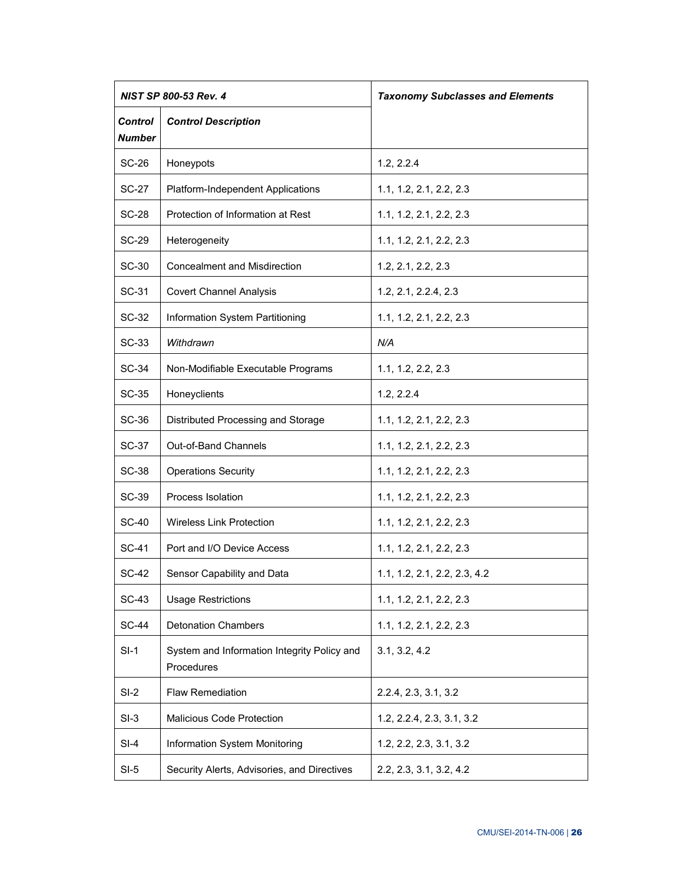| <b>NIST SP 800-53 Rev. 4</b>    |                                                           | <b>Taxonomy Subclasses and Elements</b> |
|---------------------------------|-----------------------------------------------------------|-----------------------------------------|
| <b>Control</b><br><b>Number</b> | <b>Control Description</b>                                |                                         |
| <b>SC-26</b>                    | Honeypots                                                 | 1.2, 2.2.4                              |
| <b>SC-27</b>                    | Platform-Independent Applications                         | 1.1, 1.2, 2.1, 2.2, 2.3                 |
| <b>SC-28</b>                    | Protection of Information at Rest                         | 1.1, 1.2, 2.1, 2.2, 2.3                 |
| <b>SC-29</b>                    | Heterogeneity                                             | 1.1, 1.2, 2.1, 2.2, 2.3                 |
| SC-30                           | <b>Concealment and Misdirection</b>                       | 1.2, 2.1, 2.2, 2.3                      |
| SC-31                           | <b>Covert Channel Analysis</b>                            | 1.2, 2.1, 2.2.4, 2.3                    |
| SC-32                           | Information System Partitioning                           | 1.1, 1.2, 2.1, 2.2, 2.3                 |
| <b>SC-33</b>                    | Withdrawn                                                 | N/A                                     |
| <b>SC-34</b>                    | Non-Modifiable Executable Programs                        | 1.1, 1.2, 2.2, 2.3                      |
| SC-35                           | Honeyclients                                              | 1.2, 2.2.4                              |
| SC-36                           | Distributed Processing and Storage                        | 1.1, 1.2, 2.1, 2.2, 2.3                 |
| <b>SC-37</b>                    | Out-of-Band Channels                                      | 1.1, 1.2, 2.1, 2.2, 2.3                 |
| <b>SC-38</b>                    | <b>Operations Security</b>                                | 1.1, 1.2, 2.1, 2.2, 2.3                 |
| <b>SC-39</b>                    | Process Isolation                                         | 1.1, 1.2, 2.1, 2.2, 2.3                 |
| <b>SC-40</b>                    | Wireless Link Protection                                  | 1.1, 1.2, 2.1, 2.2, 2.3                 |
| <b>SC-41</b>                    | Port and I/O Device Access                                | 1.1, 1.2, 2.1, 2.2, 2.3                 |
| <b>SC-42</b>                    | Sensor Capability and Data                                | 1.1, 1.2, 2.1, 2.2, 2.3, 4.2            |
| <b>SC-43</b>                    | <b>Usage Restrictions</b>                                 | 1.1, 1.2, 2.1, 2.2, 2.3                 |
| <b>SC-44</b>                    | <b>Detonation Chambers</b>                                | 1.1, 1.2, 2.1, 2.2, 2.3                 |
| $SI-1$                          | System and Information Integrity Policy and<br>Procedures | 3.1, 3.2, 4.2                           |
| $SI-2$                          | Flaw Remediation                                          | 2.2.4, 2.3, 3.1, 3.2                    |
| $SI-3$                          | Malicious Code Protection                                 | 1.2, 2.2.4, 2.3, 3.1, 3.2               |
| $SI-4$                          | Information System Monitoring                             | 1.2, 2.2, 2.3, 3.1, 3.2                 |
| $SI-5$                          | Security Alerts, Advisories, and Directives               | 2.2, 2.3, 3.1, 3.2, 4.2                 |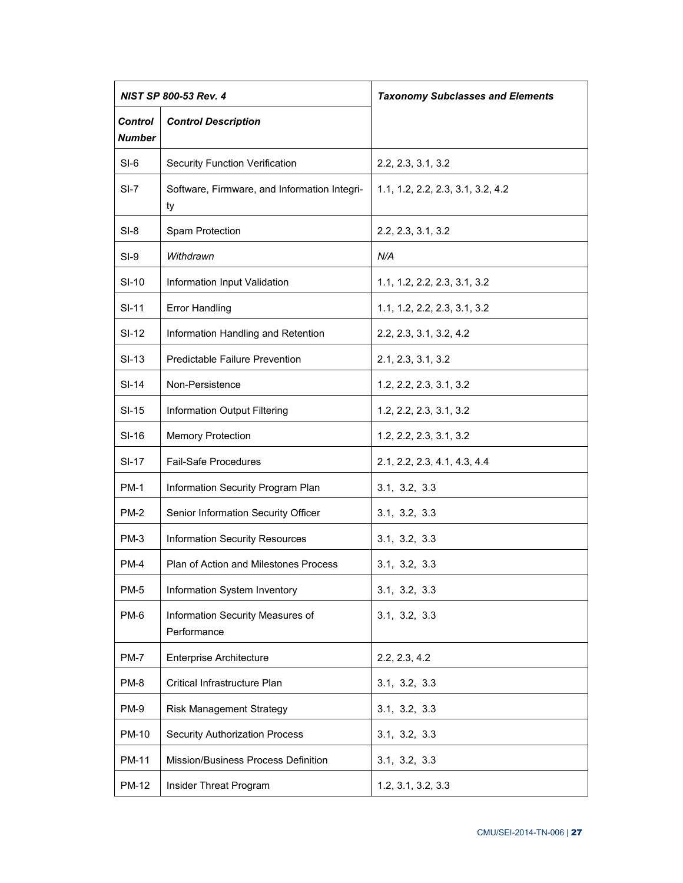| <b>NIST SP 800-53 Rev. 4</b> |                                                    | <b>Taxonomy Subclasses and Elements</b> |
|------------------------------|----------------------------------------------------|-----------------------------------------|
| Control<br><b>Number</b>     | <b>Control Description</b>                         |                                         |
| $SI-6$                       | <b>Security Function Verification</b>              | 2.2, 2.3, 3.1, 3.2                      |
| $SI-7$                       | Software, Firmware, and Information Integri-<br>ty | 1.1, 1.2, 2.2, 2.3, 3.1, 3.2, 4.2       |
| $SI-8$                       | Spam Protection                                    | 2.2, 2.3, 3.1, 3.2                      |
| $SI-9$                       | Withdrawn                                          | N/A                                     |
| SI-10                        | Information Input Validation                       | 1.1, 1.2, 2.2, 2.3, 3.1, 3.2            |
| $SI-11$                      | <b>Error Handling</b>                              | 1.1, 1.2, 2.2, 2.3, 3.1, 3.2            |
| $SI-12$                      | Information Handling and Retention                 | 2.2, 2.3, 3.1, 3.2, 4.2                 |
| $SI-13$                      | <b>Predictable Failure Prevention</b>              | 2.1, 2.3, 3.1, 3.2                      |
| $SI-14$                      | Non-Persistence                                    | 1.2, 2.2, 2.3, 3.1, 3.2                 |
| $SI-15$                      | Information Output Filtering                       | 1.2, 2.2, 2.3, 3.1, 3.2                 |
| SI-16                        | <b>Memory Protection</b>                           | 1.2, 2.2, 2.3, 3.1, 3.2                 |
| $SI-17$                      | <b>Fail-Safe Procedures</b>                        | 2.1, 2.2, 2.3, 4.1, 4.3, 4.4            |
| <b>PM-1</b>                  | Information Security Program Plan                  | 3.1, 3.2, 3.3                           |
| $PM-2$                       | Senior Information Security Officer                | 3.1, 3.2, 3.3                           |
| $PM-3$                       | Information Security Resources                     | 3.1, 3.2, 3.3                           |
| $PM-4$                       | Plan of Action and Milestones Process              | 3.1, 3.2, 3.3                           |
| <b>PM-5</b>                  | Information System Inventory                       | 3.1, 3.2, 3.3                           |
| PM-6                         | Information Security Measures of<br>Performance    | 3.1, 3.2, 3.3                           |
| PM-7                         | <b>Enterprise Architecture</b>                     | 2.2, 2.3, 4.2                           |
| PM-8                         | Critical Infrastructure Plan                       | 3.1, 3.2, 3.3                           |
| PM-9                         | <b>Risk Management Strategy</b>                    | 3.1, 3.2, 3.3                           |
| <b>PM-10</b>                 | <b>Security Authorization Process</b>              | 3.1, 3.2, 3.3                           |
| <b>PM-11</b>                 | Mission/Business Process Definition                | 3.1, 3.2, 3.3                           |
| <b>PM-12</b>                 | Insider Threat Program                             | 1.2, 3.1, 3.2, 3.3                      |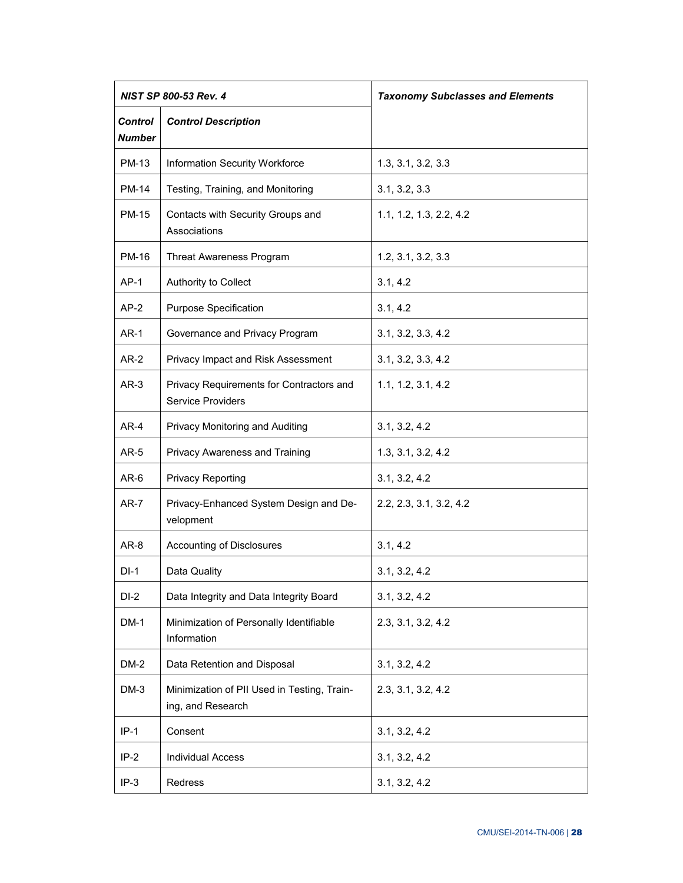| NIST SP 800-53 Rev. 4           |                                                                      | <b>Taxonomy Subclasses and Elements</b> |
|---------------------------------|----------------------------------------------------------------------|-----------------------------------------|
| <b>Control</b><br><b>Number</b> | <b>Control Description</b>                                           |                                         |
| <b>PM-13</b>                    | Information Security Workforce                                       | 1.3, 3.1, 3.2, 3.3                      |
| <b>PM-14</b>                    | Testing, Training, and Monitoring                                    | 3.1, 3.2, 3.3                           |
| <b>PM-15</b>                    | Contacts with Security Groups and<br>Associations                    | 1.1, 1.2, 1.3, 2.2, 4.2                 |
| <b>PM-16</b>                    | Threat Awareness Program                                             | 1.2, 3.1, 3.2, 3.3                      |
| $AP-1$                          | Authority to Collect                                                 | 3.1, 4.2                                |
| $AP-2$                          | <b>Purpose Specification</b>                                         | 3.1, 4.2                                |
| $AR-1$                          | Governance and Privacy Program                                       | 3.1, 3.2, 3.3, 4.2                      |
| $AR-2$                          | Privacy Impact and Risk Assessment                                   | 3.1, 3.2, 3.3, 4.2                      |
| $AR-3$                          | Privacy Requirements for Contractors and<br><b>Service Providers</b> | 1.1, 1.2, 3.1, 4.2                      |
| $AR-4$                          | Privacy Monitoring and Auditing                                      | 3.1, 3.2, 4.2                           |
| $AR-5$                          | Privacy Awareness and Training                                       | 1.3, 3.1, 3.2, 4.2                      |
| $AR-6$                          | <b>Privacy Reporting</b>                                             | 3.1, 3.2, 4.2                           |
| $AR-7$                          | Privacy-Enhanced System Design and De-<br>velopment                  | 2.2, 2.3, 3.1, 3.2, 4.2                 |
| $AR-8$                          | Accounting of Disclosures                                            | 3.1, 4.2                                |
| $DI-1$                          | Data Quality                                                         | 3.1, 3.2, 4.2                           |
| $DI-2$                          | Data Integrity and Data Integrity Board                              | 3.1, 3.2, 4.2                           |
| $DM-1$                          | Minimization of Personally Identifiable<br>Information               | 2.3, 3.1, 3.2, 4.2                      |
| $DM-2$                          | Data Retention and Disposal                                          | 3.1, 3.2, 4.2                           |
| $DM-3$                          | Minimization of PII Used in Testing, Train-<br>ing, and Research     | 2.3, 3.1, 3.2, 4.2                      |
| $IP-1$                          | Consent                                                              | 3.1, 3.2, 4.2                           |
| $IP-2$                          | <b>Individual Access</b>                                             | 3.1, 3.2, 4.2                           |
| $IP-3$                          | Redress                                                              | 3.1, 3.2, 4.2                           |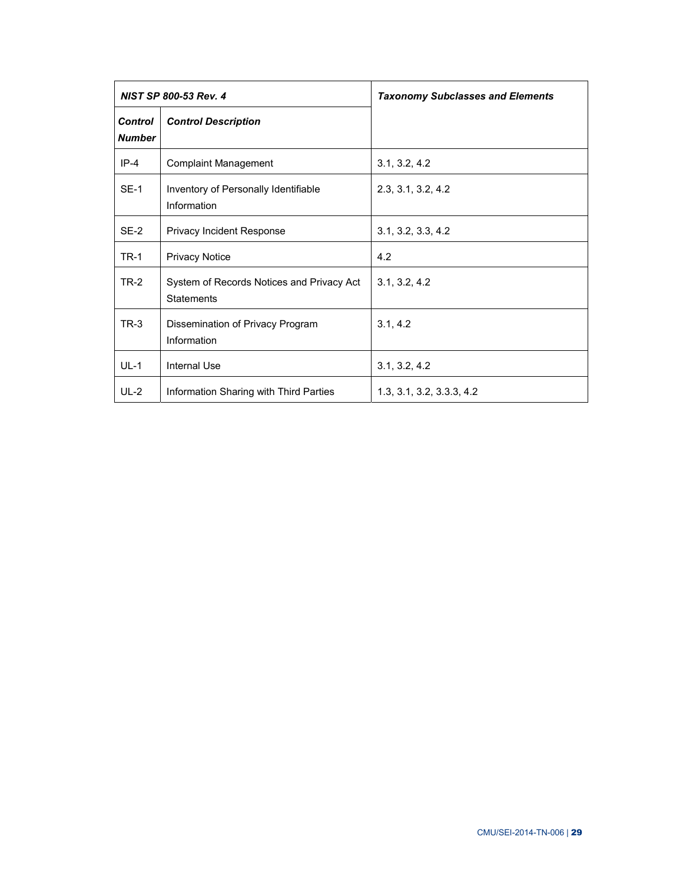| NIST SP 800-53 Rev. 4           |                                                                | <b>Taxonomy Subclasses and Elements</b> |
|---------------------------------|----------------------------------------------------------------|-----------------------------------------|
| <b>Control</b><br><b>Number</b> | <b>Control Description</b>                                     |                                         |
| $IP-4$                          | Complaint Management                                           | 3.1, 3.2, 4.2                           |
| $SE-1$                          | Inventory of Personally Identifiable<br>Information            | 2.3, 3.1, 3.2, 4.2                      |
| $SE-2$                          | Privacy Incident Response                                      | 3.1, 3.2, 3.3, 4.2                      |
| <b>TR-1</b>                     | <b>Privacy Notice</b>                                          | 4.2                                     |
| $TR-2$                          | System of Records Notices and Privacy Act<br><b>Statements</b> | 3.1, 3.2, 4.2                           |
| $TR-3$                          | Dissemination of Privacy Program<br>Information                | 3.1, 4.2                                |
| $UL-1$                          | <b>Internal Use</b>                                            | 3.1, 3.2, 4.2                           |
| $UL-2$                          | Information Sharing with Third Parties                         | 1.3, 3.1, 3.2, 3.3.3, 4.2               |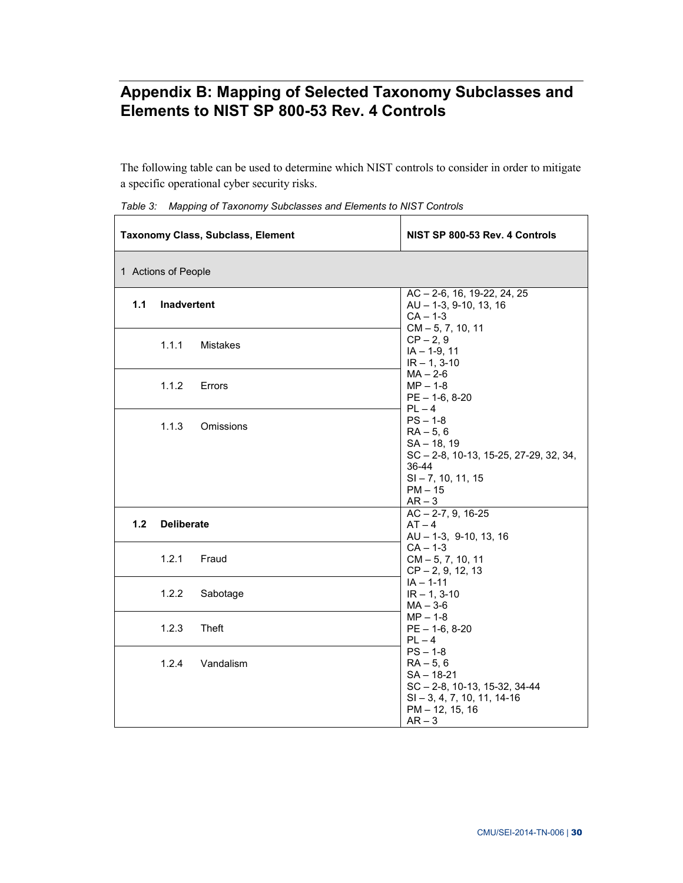# **Appendix B: Mapping of Selected Taxonomy Subclasses and Elements to NIST SP 800-53 Rev. 4 Controls**

The following table can be used to determine which NIST controls to consider in order to mitigate a specific operational cyber security risks.

|                     |                    | <b>Taxonomy Class, Subclass, Element</b> | NIST SP 800-53 Rev. 4 Controls                                                                                                                    |  |
|---------------------|--------------------|------------------------------------------|---------------------------------------------------------------------------------------------------------------------------------------------------|--|
| 1 Actions of People |                    |                                          |                                                                                                                                                   |  |
| 1.1                 | <b>Inadvertent</b> |                                          | $AC - 2-6$ , 16, 19-22, 24, 25<br>$AU - 1-3$ , 9-10, 13, 16<br>$CA - 1-3$                                                                         |  |
|                     | 1.1.1              | <b>Mistakes</b>                          | $CM - 5, 7, 10, 11$<br>$CP - 2, 9$<br>$IA - 1-9, 11$<br>$IR - 1, 3-10$                                                                            |  |
|                     | 1.1.2              | Errors                                   | $MA - 2-6$<br>$MP - 1-8$<br>$PE - 1-6, 8-20$<br>$PL - 4$                                                                                          |  |
|                     | 1.1.3              | Omissions                                | $PS - 1-8$<br>$RA - 5, 6$<br>$SA - 18, 19$<br>$SC - 2-8$ , 10-13, 15-25, 27-29, 32, 34,<br>36-44<br>$SI - 7, 10, 11, 15$<br>$PM - 15$<br>$AR - 3$ |  |
| 1.2                 | <b>Deliberate</b>  |                                          | $AC - 2-7, 9, 16-25$<br>$AT - 4$<br>AU - 1-3, 9-10, 13, 16                                                                                        |  |
|                     | 1.2.1              | Fraud                                    | $CA - 1-3$<br>$CM - 5, 7, 10, 11$<br>$CP - 2, 9, 12, 13$                                                                                          |  |
|                     | 1.2.2              | Sabotage                                 | $IA - 1-11$<br>$IR - 1.3 - 10$<br>$MA - 3-6$                                                                                                      |  |
|                     | 1.2.3              | Theft                                    | $MP - 1-8$<br>$PE - 1-6, 8-20$<br>$PL - 4$                                                                                                        |  |
|                     | 1.2.4              | Vandalism                                | $PS - 1-8$<br>$RA - 5, 6$<br>$SA - 18-21$<br>SC-2-8, 10-13, 15-32, 34-44<br>$SI - 3, 4, 7, 10, 11, 14-16$<br>PM - 12, 15, 16<br>$AR - 3$          |  |

*Table 3: Mapping of Taxonomy Subclasses and Elements to NIST Controls*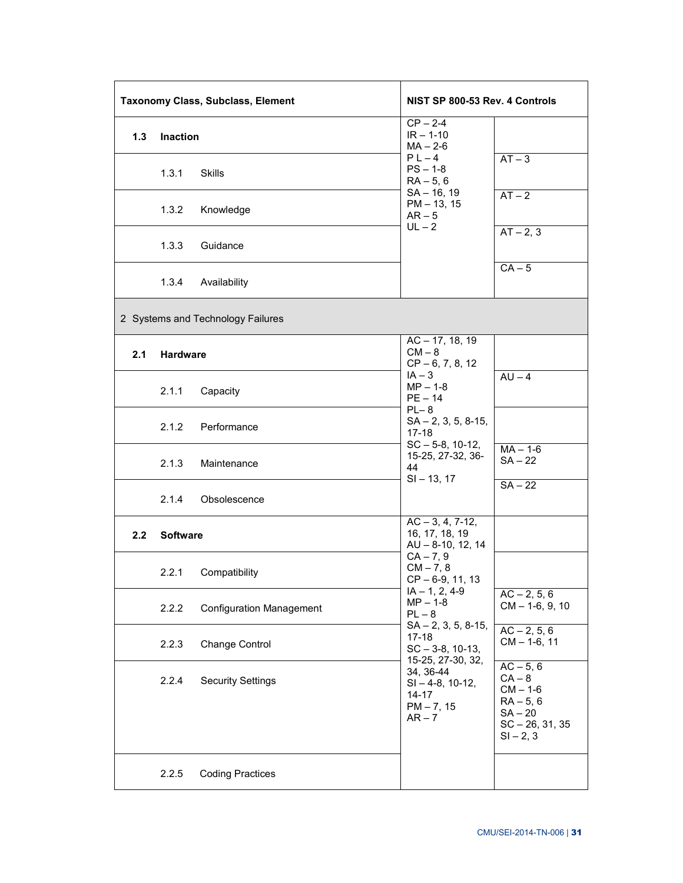| <b>Taxonomy Class, Subclass, Element</b> |                 | NIST SP 800-53 Rev. 4 Controls    |                                                                                                                                                                                                           |                                                                                                       |
|------------------------------------------|-----------------|-----------------------------------|-----------------------------------------------------------------------------------------------------------------------------------------------------------------------------------------------------------|-------------------------------------------------------------------------------------------------------|
| 1.3                                      | Inaction        |                                   | $CP - 2-4$<br>$IR - 1-10$<br>$MA - 2-6$                                                                                                                                                                   |                                                                                                       |
|                                          | 1.3.1           | <b>Skills</b>                     | $PL-4$<br>$PS - 1-8$<br>$RA - 5, 6$                                                                                                                                                                       | $AT - 3$                                                                                              |
|                                          | 1.3.2           | Knowledge                         | $SA - 16, 19$<br>$PM - 13, 15$<br>$AR - 5$                                                                                                                                                                | $AT - 2$                                                                                              |
|                                          | 1.3.3           | Guidance                          | $UL - 2$                                                                                                                                                                                                  | $AT - 2, 3$                                                                                           |
|                                          | 1.3.4           | Availability                      |                                                                                                                                                                                                           | $CA - 5$                                                                                              |
|                                          |                 | 2 Systems and Technology Failures |                                                                                                                                                                                                           |                                                                                                       |
| 2.1                                      | <b>Hardware</b> |                                   | $AC - 17, 18, 19$<br>$CM - 8$<br>$CP - 6, 7, 8, 12$                                                                                                                                                       |                                                                                                       |
|                                          | 2.1.1           | Capacity                          | $IA - 3$<br>$MP - 1-8$<br>$PE - 14$<br>$PL - 8$<br>$SA - 2, 3, 5, 8-15,$<br>$17 - 18$<br>$SC - 5-8$ , 10-12,<br>15-25, 27-32, 36-<br>44<br>$SI - 13, 17$                                                  | $AU - 4$                                                                                              |
|                                          | 2.1.2           | Performance                       |                                                                                                                                                                                                           |                                                                                                       |
|                                          | 2.1.3           | Maintenance                       |                                                                                                                                                                                                           | $MA - 1-6$<br>$SA - 22$                                                                               |
|                                          | 2.1.4           | Obsolescence                      |                                                                                                                                                                                                           | $SA - 22$                                                                                             |
| $2.2^{\circ}$                            | <b>Software</b> |                                   | $AC - 3, 4, 7-12,$<br>16, 17, 18, 19<br>$AU - 8-10$ , 12, 14                                                                                                                                              |                                                                                                       |
|                                          | 2.2.1           | Compatibility                     | $CA - 7, 9$<br>$CM - 7, 8$<br>$CP - 6-9, 11, 13$                                                                                                                                                          |                                                                                                       |
|                                          | 2.2.2           | <b>Configuration Management</b>   | $IA - 1, 2, 4-9$<br>$MP - 1-8$<br>$PL - 8$<br>$SA - 2, 3, 5, 8-15,$<br>$17 - 18$<br>$SC - 3-8$ , 10-13,<br>15-25, 27-30, 32,<br>34, 36-44<br>$SI - 4-8$ , 10-12,<br>$14 - 17$<br>$PM - 7, 15$<br>$AR - 7$ | $AC - 2, 5, 6$<br>$CM - 1-6, 9, 10$                                                                   |
|                                          | 2.2.3           | <b>Change Control</b>             |                                                                                                                                                                                                           | $AC - 2, 5, 6$<br>$CM - 1-6, 11$                                                                      |
|                                          | 2.2.4           | <b>Security Settings</b>          |                                                                                                                                                                                                           | $AC - 5, 6$<br>$CA - 8$<br>$CM - 1-6$<br>$RA - 5, 6$<br>$SA - 20$<br>$SC - 26, 31, 35$<br>$SI - 2, 3$ |
|                                          | 2.2.5           | <b>Coding Practices</b>           |                                                                                                                                                                                                           |                                                                                                       |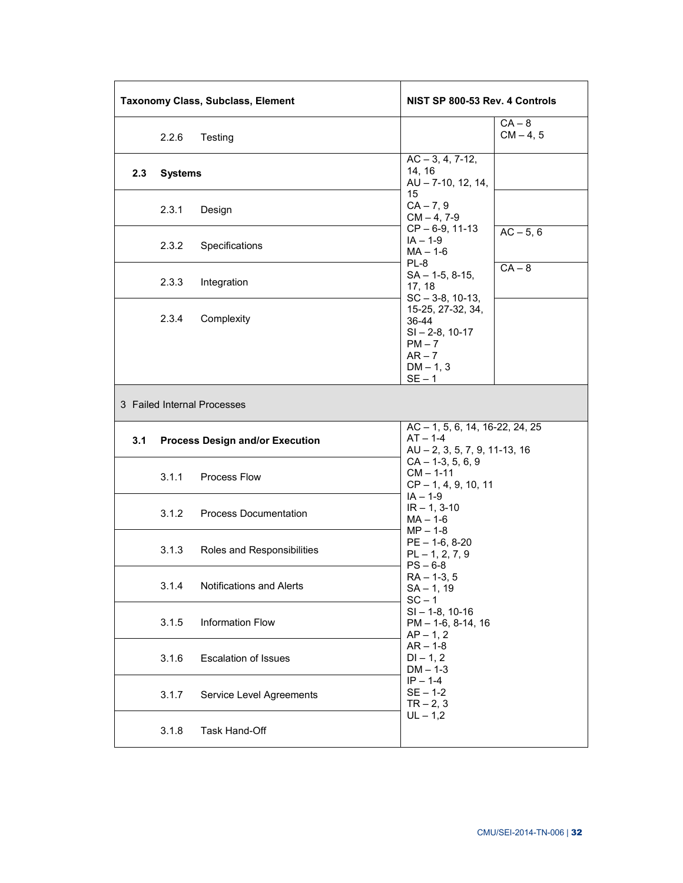| <b>Taxonomy Class, Subclass, Element</b> |                |                                        | NIST SP 800-53 Rev. 4 Controls                                                                      |                         |
|------------------------------------------|----------------|----------------------------------------|-----------------------------------------------------------------------------------------------------|-------------------------|
|                                          | 2.2.6          | Testing                                |                                                                                                     | $CA - 8$<br>$CM - 4, 5$ |
| 2.3                                      | <b>Systems</b> |                                        | $AC - 3, 4, 7-12,$<br>14, 16<br>AU - 7-10, 12, 14,                                                  |                         |
|                                          | 2.3.1          | Design                                 | 15<br>$CA - 7, 9$<br>$CM - 4, 7-9$                                                                  |                         |
|                                          | 2.3.2          | Specifications                         | $CP - 6-9, 11-13$<br>$IA - 1-9$<br>$MA - 1-6$<br>PL-8                                               | $AC - 5, 6$             |
|                                          | 2.3.3          | Integration                            | $SA - 1-5$ , 8-15,<br>17, 18<br>$SC - 3-8$ , 10-13,                                                 | $CA - 8$                |
|                                          | 2.3.4          | Complexity                             | 15-25, 27-32, 34,<br>36-44<br>$SI - 2-8$ , 10-17<br>$PM - 7$<br>$AR - 7$<br>$DM - 1, 3$<br>$SE - 1$ |                         |
|                                          |                | 3 Failed Internal Processes            |                                                                                                     |                         |
| 3.1                                      |                | <b>Process Design and/or Execution</b> | AC - 1, 5, 6, 14, 16-22, 24, 25<br>$AT - 1-4$<br>$AU - 2$ , 3, 5, 7, 9, 11-13, 16                   |                         |
|                                          | 3.1.1          | <b>Process Flow</b>                    | $CA - 1-3, 5, 6, 9$<br>$CM - 1-11$<br>$CP - 1, 4, 9, 10, 11$                                        |                         |
|                                          | 3.1.2          | <b>Process Documentation</b>           | $IA - 1-9$<br>$IR - 1, 3-10$<br>$MA - 1-6$<br>$MP - 1-8$                                            |                         |
|                                          | 3.1.3          | Roles and Responsibilities             | $PE - 1-6, 8-20$<br>$PL - 1, 2, 7, 9$<br>$PS - 6-8$                                                 |                         |
|                                          | 3.1.4          | Notifications and Alerts               | $RA - 1-3.5$<br>$SA - 1, 19$<br>$SC - 1$                                                            |                         |
|                                          | 3.1.5          | Information Flow                       | $SI - 1 - 8$ , 10-16<br>PM-1-6, 8-14, 16<br>$AP - 1, 2$                                             |                         |
|                                          | 3.1.6          | <b>Escalation of Issues</b>            | $AR - 1-8$<br>$DI - 1, 2$<br>$DM - 1-3$                                                             |                         |
|                                          | 3.1.7          | Service Level Agreements               | $IP - 1-4$<br>$SE - 1-2$<br>$TR - 2, 3$                                                             |                         |
|                                          | 3.1.8          | Task Hand-Off                          | $UL - 1,2$                                                                                          |                         |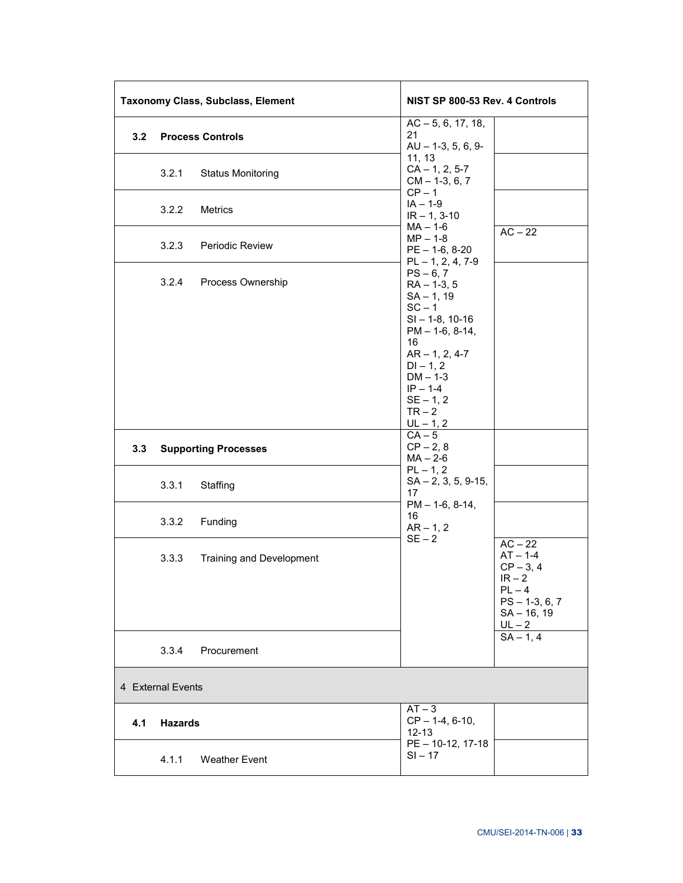| <b>Taxonomy Class, Subclass, Element</b> |                         | NIST SP 800-53 Rev. 4 Controls |                                                                                                                                                                                                                      |                                                                                                                 |
|------------------------------------------|-------------------------|--------------------------------|----------------------------------------------------------------------------------------------------------------------------------------------------------------------------------------------------------------------|-----------------------------------------------------------------------------------------------------------------|
| 3.2                                      | <b>Process Controls</b> |                                | $AC - 5, 6, 17, 18,$<br>21<br>$AU - 1-3, 5, 6, 9-$                                                                                                                                                                   |                                                                                                                 |
|                                          | 3.2.1                   | <b>Status Monitoring</b>       | 11, 13<br>$CA - 1, 2, 5-7$<br>$CM - 1-3, 6, 7$                                                                                                                                                                       |                                                                                                                 |
|                                          | 3.2.2                   | <b>Metrics</b>                 | $CP - 1$<br>$IA - 1-9$<br>$IR - 1, 3-10$<br>$MA - 1-6$                                                                                                                                                               |                                                                                                                 |
|                                          | 3.2.3                   | Periodic Review                | $MP - 1-8$<br>$PE - 1-6, 8-20$<br>$PL - 1, 2, 4, 7-9$                                                                                                                                                                | $AC - 22$                                                                                                       |
|                                          | 3.2.4                   | Process Ownership              | $PS - 6, 7$<br>$RA - 1-3, 5$<br>$SA - 1, 19$<br>$SC - 1$<br>$SI - 1 - 8$ , 10-16<br>$PM - 1-6, 8-14,$<br>16<br>$AR - 1, 2, 4-7$<br>$DI - 1, 2$<br>$DM - 1-3$<br>$IP - 1-4$<br>$SE - 1, 2$<br>$TR - 2$<br>$UL - 1, 2$ |                                                                                                                 |
| 3.3                                      |                         | <b>Supporting Processes</b>    | $CA - 5$<br>$CP - 2, 8$<br>$MA - 2-6$                                                                                                                                                                                |                                                                                                                 |
|                                          | 3.3.1                   | Staffing                       | $PL - 1, 2$<br>$SA - 2, 3, 5, 9-15,$<br>17                                                                                                                                                                           |                                                                                                                 |
|                                          | 3.3.2                   | Funding                        | $PM - 1-6, 8-14,$<br>16<br>$AR - 1, 2$                                                                                                                                                                               |                                                                                                                 |
|                                          | 3.3.3                   | Training and Development       | $SE - 2$                                                                                                                                                                                                             | $AC - 22$<br>$AT - 1-4$<br>$CP - 3, 4$<br>$IR - 2$<br>$PL - 4$<br>$PS - 1-3, 6, 7$<br>$SA - 16, 19$<br>$UL - 2$ |
|                                          | 3.3.4                   | Procurement                    |                                                                                                                                                                                                                      | $SA - 1, 4$                                                                                                     |
|                                          | 4 External Events       |                                |                                                                                                                                                                                                                      |                                                                                                                 |
| 4.1                                      | <b>Hazards</b>          |                                | $AT - 3$<br>$CP - 1-4, 6-10,$<br>$12 - 13$                                                                                                                                                                           |                                                                                                                 |
|                                          | 4.1.1                   | <b>Weather Event</b>           | PE - 10-12, 17-18<br>$SI - 17$                                                                                                                                                                                       |                                                                                                                 |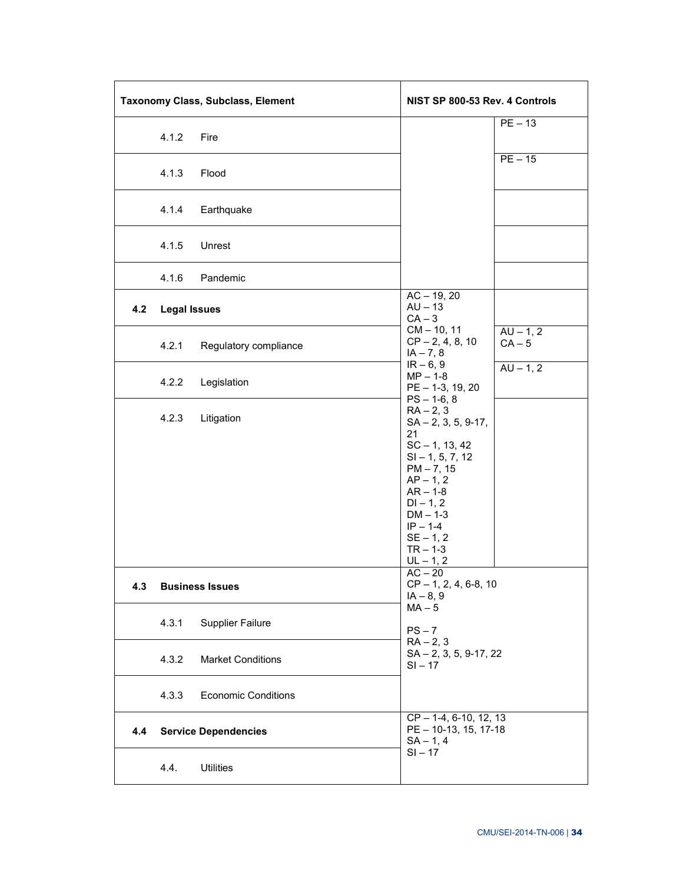| <b>Taxonomy Class, Subclass, Element</b> |                     | NIST SP 800-53 Rev. 4 Controls |                                                                                                                                                                            |                         |
|------------------------------------------|---------------------|--------------------------------|----------------------------------------------------------------------------------------------------------------------------------------------------------------------------|-------------------------|
|                                          | 4.1.2               | Fire                           |                                                                                                                                                                            | $PE - 13$               |
|                                          | 4.1.3               | Flood                          |                                                                                                                                                                            | $PE - 15$               |
|                                          | 4.1.4               | Earthquake                     |                                                                                                                                                                            |                         |
|                                          | 4.1.5               | Unrest                         |                                                                                                                                                                            |                         |
|                                          | 4.1.6               | Pandemic                       |                                                                                                                                                                            |                         |
| 4.2                                      | <b>Legal Issues</b> |                                | $AC - 19, 20$<br>$AU - 13$<br>$CA-3$                                                                                                                                       |                         |
|                                          | 4.2.1               | Regulatory compliance          | $CM - 10, 11$<br>$CP - 2, 4, 8, 10$<br>$IA - 7, 8$                                                                                                                         | $AU - 1, 2$<br>$CA - 5$ |
|                                          | 4.2.2               | Legislation                    | $IR - 6, 9$<br>$MP - 1-8$<br>PE - 1-3, 19, 20<br>$PS - 1-6, 8$                                                                                                             | $AU - 1, 2$             |
|                                          | 4.2.3               | Litigation                     | $RA - 2, 3$<br>$SA - 2, 3, 5, 9-17,$<br>21                                                                                                                                 |                         |
|                                          |                     |                                | $SC - 1, 13, 42$<br>$SI - 1, 5, 7, 12$<br>$PM - 7, 15$<br>$AP - 1, 2$<br>$AR - 1-8$<br>$DI - 1, 2$<br>$DM - 1-3$<br>$IP - 1-4$<br>$SE - 1, 2$<br>$TR - 1-3$<br>$UL - 1, 2$ |                         |
| 4.3                                      |                     | <b>Business Issues</b>         | $AC - 20$<br>$CP - 1, 2, 4, 6-8, 10$<br>$IA - 8, 9$                                                                                                                        |                         |
|                                          | 4.3.1               | <b>Supplier Failure</b>        | $MA - 5$<br>$PS - 7$<br>$RA - 2, 3$                                                                                                                                        |                         |
|                                          | 4.3.2               | <b>Market Conditions</b>       | $SA - 2, 3, 5, 9-17, 22$<br>$SI - 17$                                                                                                                                      |                         |
|                                          | 4.3.3               | <b>Economic Conditions</b>     |                                                                                                                                                                            |                         |
| 4.4                                      |                     | <b>Service Dependencies</b>    | $CP - 1-4, 6-10, 12, 13$<br>PE - 10-13, 15, 17-18<br>$SA - 1, 4$                                                                                                           |                         |
|                                          | 4.4.                | <b>Utilities</b>               | $SI - 17$                                                                                                                                                                  |                         |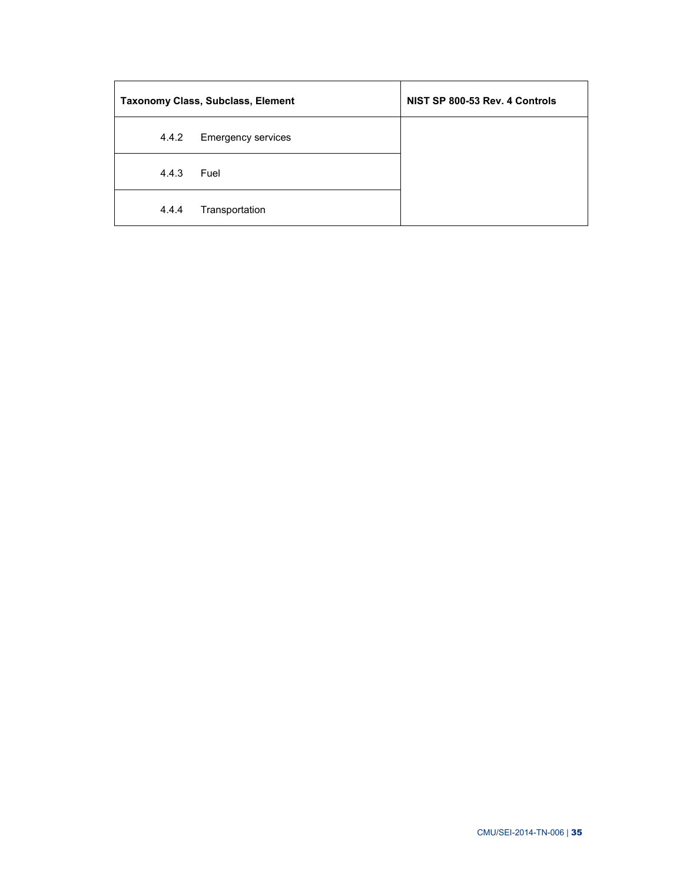|       | <b>Taxonomy Class, Subclass, Element</b> | NIST SP 800-53 Rev. 4 Controls |
|-------|------------------------------------------|--------------------------------|
| 4.4.2 | <b>Emergency services</b>                |                                |
| 4.4.3 | Fuel                                     |                                |
| 4.4.4 | Transportation                           |                                |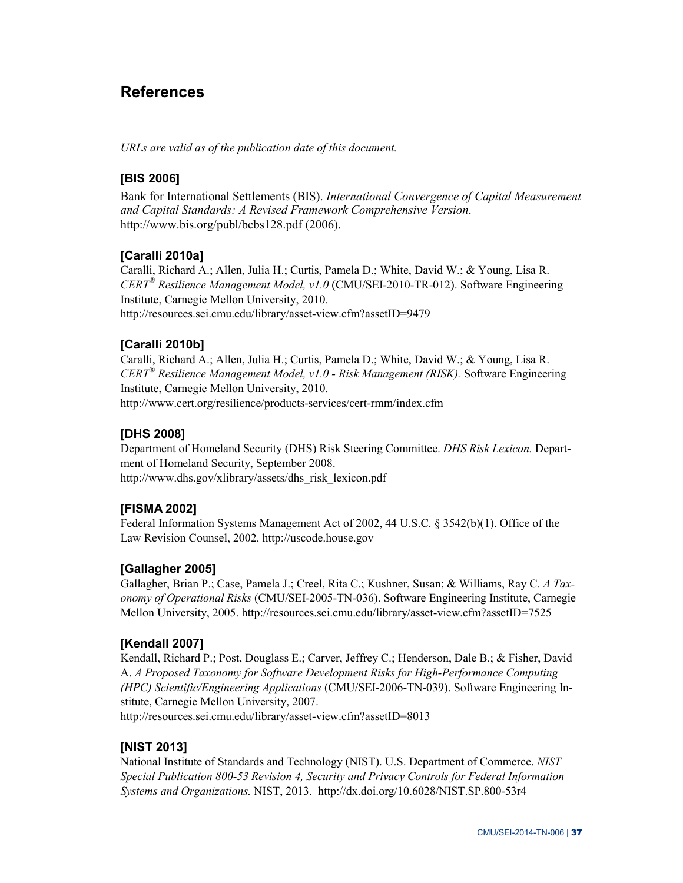## **References**

*URLs are valid as of the publication date of this document.* 

### **[BIS 2006]**

Bank for International Settlements (BIS). *International Convergence of Capital Measurement and Capital Standards: A Revised Framework Comprehensive Version*. http://www.bis.org/publ/bcbs128.pdf (2006).

### **[Caralli 2010a]**

Caralli, Richard A.; Allen, Julia H.; Curtis, Pamela D.; White, David W.; & Young, Lisa R. *CERT® Resilience Management Model, v1.0* (CMU/SEI-2010-TR-012). Software Engineering Institute, Carnegie Mellon University, 2010. http://resources.sei.cmu.edu/library/asset-view.cfm?assetID=9479

### **[Caralli 2010b]**

Caralli, Richard A.; Allen, Julia H.; Curtis, Pamela D.; White, David W.; & Young, Lisa R. *CERT® Resilience Management Model, v1.0 - Risk Management (RISK).* Software Engineering Institute, Carnegie Mellon University, 2010. http://www.cert.org/resilience/products-services/cert-rmm/index.cfm

### **[DHS 2008]**

Department of Homeland Security (DHS) Risk Steering Committee. *DHS Risk Lexicon.* Department of Homeland Security, September 2008. http://www.dhs.gov/xlibrary/assets/dhs\_risk\_lexicon.pdf

### **[FISMA 2002]**

Federal Information Systems Management Act of 2002, 44 U.S.C. § 3542(b)(1). Office of the Law Revision Counsel, 2002. http://uscode.house.gov

### **[Gallagher 2005]**

Gallagher, Brian P.; Case, Pamela J.; Creel, Rita C.; Kushner, Susan; & Williams, Ray C. *A Taxonomy of Operational Risks* (CMU/SEI-2005-TN-036). Software Engineering Institute, Carnegie Mellon University, 2005. http://resources.sei.cmu.edu/library/asset-view.cfm?assetID=7525

### **[Kendall 2007]**

Kendall, Richard P.; Post, Douglass E.; Carver, Jeffrey C.; Henderson, Dale B.; & Fisher, David A. *A Proposed Taxonomy for Software Development Risks for High-Performance Computing (HPC) Scientific/Engineering Applications* (CMU/SEI-2006-TN-039). Software Engineering Institute, Carnegie Mellon University, 2007.

http://resources.sei.cmu.edu/library/asset-view.cfm?assetID=8013

### **[NIST 2013]**

National Institute of Standards and Technology (NIST). U.S. Department of Commerce. *NIST Special Publication 800-53 Revision 4, Security and Privacy Controls for Federal Information Systems and Organizations.* NIST, 2013. http://dx.doi.org/10.6028/NIST.SP.800-53r4